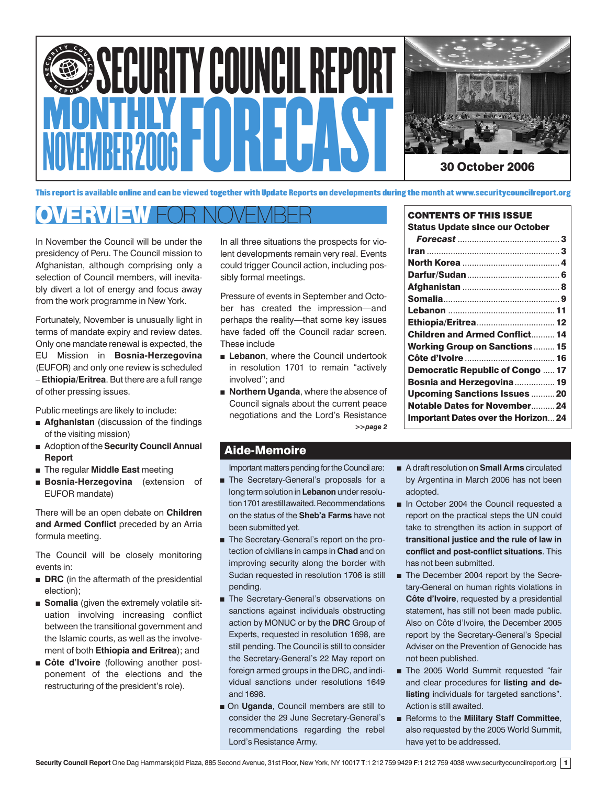



CONTENTS OF THIS ISSUE Status Update since our October

This report is available online and can be viewed together with Update Reports on developments during the month at www.securitycouncilreport.org

# OVERVIEW FOR NOVEMBER

In November the Council will be under the presidency of Peru. The Council mission to Afghanistan, although comprising only a selection of Council members, will inevitably divert a lot of energy and focus away from the work programme in New York.

Fortunately, November is unusually light in terms of mandate expiry and review dates. Only one mandate renewal is expected, the EU Mission in **Bosnia-Herzegovina** (EUFOR) and only one review is scheduled – **Ethiopia/Eritrea**. But there are a full range of other pressing issues.

Public meetings are likely to include:

- **Afghanistan** (discussion of the findings of the visiting mission)
- Adoption of the **Security Council Annual Report**
- The regular **Middle East** meeting
- **Bosnia-Herzegovina** (extension of EUFOR mandate)

There will be an open debate on **Children and Armed Conflict** preceded by an Arria formula meeting.

The Council will be closely monitoring events in:

- **DRC** (in the aftermath of the presidential election);
- **Somalia** (given the extremely volatile situation involving increasing conflict between the transitional government and the Islamic courts, as well as the involvement of both **Ethiopia and Eritrea**); and
- **Côte d'Ivoire** (following another postponement of the elections and the restructuring of the president's role).

In all three situations the prospects for violent developments remain very real. Events could trigger Council action, including possibly formal meetings.

Pressure of events in September and October has created the impression—and perhaps the reality—that some key issues have faded off the Council radar screen. These include

- **Example 2** Lebanon, where the Council undertook in resolution 1701 to remain "actively involved"; and
- *>>page 2* ■ **Northern Uganda**, where the absence of Council signals about the current peace negotiations and the Lord's Resistance

# Aide-Memoire

Important matters pending for the Council are:

- The Secretary-General's proposals for a long term solution in **Lebanon** under resolution 1701 are still awaited. Recommendations on the status of the **Sheb'a Farms** have not been submitted yet.
- The Secretary-General's report on the protection of civilians in camps in **Chad** and on improving security along the border with Sudan requested in resolution 1706 is still pending.
- The Secretary-General's observations on sanctions against individuals obstructing action by MONUC or by the **DRC** Group of Experts, requested in resolution 1698, are still pending. The Council is still to consider the Secretary-General's 22 May report on foreign armed groups in the DRC, and individual sanctions under resolutions 1649 and 1698.
- On **Uganda**, Council members are still to consider the 29 June Secretary-General's recommendations regarding the rebel Lord's Resistance Army.

| <b>Children and Armed Conflict 14</b> |  |
|---------------------------------------|--|
| <b>Working Group on Sanctions 15</b>  |  |
|                                       |  |
| <b>Democratic Republic of Congo17</b> |  |
| Bosnia and Herzegovina 19             |  |
| <b>Upcoming Sanctions Issues  20</b>  |  |
| Notable Dates for November 24         |  |
| Important Dates over the Horizon 24   |  |

- A draft resolution on **Small Arms** circulated by Argentina in March 2006 has not been adopted.
- In October 2004 the Council requested a report on the practical steps the UN could take to strengthen its action in support of **transitional justice and the rule of law in conflict and post-conflict situations**. This has not been submitted.
- The December 2004 report by the Secretary-General on human rights violations in **Côte d'Ivoire**, requested by a presidential statement, has still not been made public. Also on Côte d'Ivoire, the December 2005 report by the Secretary-General's Special Adviser on the Prevention of Genocide has not been published.
- The 2005 World Summit requested "fair and clear procedures for **listing and delisting** individuals for targeted sanctions". Action is still awaited.
- Reforms to the **Military Staff Committee**, also requested by the 2005 World Summit, have yet to be addressed.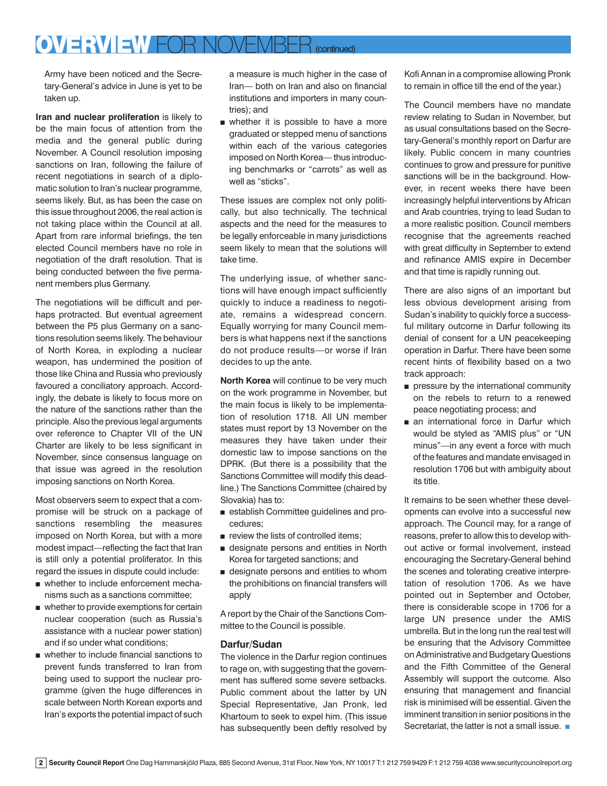# OVERVIEW FOR NOVEMBER *(continued)*

Army have been noticed and the Secretary-General's advice in June is yet to be taken up.

**Iran and nuclear proliferation** is likely to be the main focus of attention from the media and the general public during November. A Council resolution imposing sanctions on Iran, following the failure of recent negotiations in search of a diplomatic solution to Iran's nuclear programme, seems likely. But, as has been the case on this issue throughout 2006, the real action is not taking place within the Council at all. Apart from rare informal briefings, the ten elected Council members have no role in negotiation of the draft resolution. That is being conducted between the five permanent members plus Germany.

The negotiations will be difficult and perhaps protracted. But eventual agreement between the P5 plus Germany on a sanctions resolution seems likely. The behaviour of North Korea, in exploding a nuclear weapon, has undermined the position of those like China and Russia who previously favoured a conciliatory approach. Accordingly, the debate is likely to focus more on the nature of the sanctions rather than the principle. Also the previous legal arguments over reference to Chapter VII of the UN Charter are likely to be less significant in November, since consensus language on that issue was agreed in the resolution imposing sanctions on North Korea.

Most observers seem to expect that a compromise will be struck on a package of sanctions resembling the measures imposed on North Korea, but with a more modest impact—reflecting the fact that Iran is still only a potential proliferator. In this regard the issues in dispute could include:

- whether to include enforcement mechanisms such as a sanctions committee;
- whether to provide exemptions for certain nuclear cooperation (such as Russia's assistance with a nuclear power station) and if so under what conditions;
- whether to include financial sanctions to prevent funds transferred to Iran from being used to support the nuclear programme (given the huge differences in scale between North Korean exports and Iran's exports the potential impact of such

a measure is much higher in the case of Iran— both on Iran and also on financial institutions and importers in many countries); and

■ whether it is possible to have a more graduated or stepped menu of sanctions within each of the various categories imposed on North Korea— thus introducing benchmarks or "carrots" as well as well as "sticks".

These issues are complex not only politically, but also technically. The technical aspects and the need for the measures to be legally enforceable in many jurisdictions seem likely to mean that the solutions will take time.

The underlying issue, of whether sanctions will have enough impact sufficiently quickly to induce a readiness to negotiate, remains a widespread concern. Equally worrying for many Council members is what happens next if the sanctions do not produce results—or worse if Iran decides to up the ante.

**North Korea** will continue to be very much on the work programme in November, but the main focus is likely to be implementation of resolution 1718. All UN member states must report by 13 November on the measures they have taken under their domestic law to impose sanctions on the DPRK. (But there is a possibility that the Sanctions Committee will modify this deadline.) The Sanctions Committee (chaired by Slovakia) has to:

- establish Committee guidelines and procedures;
- review the lists of controlled items;
- designate persons and entities in North Korea for targeted sanctions; and
- designate persons and entities to whom the prohibitions on financial transfers will apply

A report by the Chair of the Sanctions Committee to the Council is possible.

# **Darfur/Sudan**

The violence in the Darfur region continues to rage on, with suggesting that the government has suffered some severe setbacks. Public comment about the latter by UN Special Representative, Jan Pronk, led Khartoum to seek to expel him. (This issue has subsequently been deftly resolved by

Kofi Annan in a compromise allowing Pronk to remain in office till the end of the year.)

The Council members have no mandate review relating to Sudan in November, but as usual consultations based on the Secretary-General's monthly report on Darfur are likely. Public concern in many countries continues to grow and pressure for punitive sanctions will be in the background. However, in recent weeks there have been increasingly helpful interventions by African and Arab countries, trying to lead Sudan to a more realistic position. Council members recognise that the agreements reached with great difficulty in September to extend and refinance AMIS expire in December and that time is rapidly running out.

There are also signs of an important but less obvious development arising from Sudan's inability to quickly force a successful military outcome in Darfur following its denial of consent for a UN peacekeeping operation in Darfur. There have been some recent hints of flexibility based on a two track approach:

- pressure by the international community on the rebels to return to a renewed peace negotiating process; and
- an international force in Darfur which would be styled as "AMIS plus" or "UN minus"—in any event a force with much of the features and mandate envisaged in resolution 1706 but with ambiguity about its title.

It remains to be seen whether these developments can evolve into a successful new approach. The Council may, for a range of reasons, prefer to allow this to develop without active or formal involvement, instead encouraging the Secretary-General behind the scenes and tolerating creative interpretation of resolution 1706. As we have pointed out in September and October, there is considerable scope in 1706 for a large UN presence under the AMIS umbrella. But in the long run the real test will be ensuring that the Advisory Committee on Administrative and Budgetary Questions and the Fifth Committee of the General Assembly will support the outcome. Also ensuring that management and financial risk is minimised will be essential. Given the imminent transition in senior positions in the Secretariat, the latter is not a small issue. ■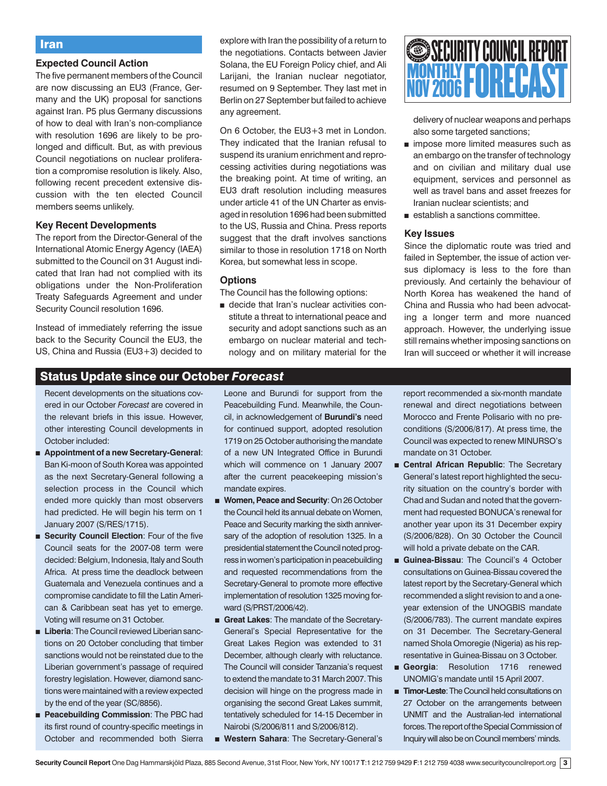# Iran

# **Expected Council Action**

The five permanent members of the Council are now discussing an EU3 (France, Germany and the UK) proposal for sanctions against Iran. P5 plus Germany discussions of how to deal with Iran's non-compliance with resolution 1696 are likely to be prolonged and difficult. But, as with previous Council negotiations on nuclear proliferation a compromise resolution is likely. Also, following recent precedent extensive discussion with the ten elected Council members seems unlikely.

#### **Key Recent Developments**

The report from the Director-General of the International Atomic Energy Agency (IAEA) submitted to the Council on 31 August indicated that Iran had not complied with its obligations under the Non-Proliferation Treaty Safeguards Agreement and under Security Council resolution 1696.

Instead of immediately referring the issue back to the Security Council the EU3, the US, China and Russia (EU3+3) decided to explore with Iran the possibility of a return to the negotiations. Contacts between Javier Solana, the EU Foreign Policy chief, and Ali Larijani, the Iranian nuclear negotiator, resumed on 9 September. They last met in Berlin on 27 September but failed to achieve any agreement.

On 6 October, the EU3+3 met in London. They indicated that the Iranian refusal to suspend its uranium enrichment and reprocessing activities during negotiations was the breaking point. At time of writing, an EU3 draft resolution including measures under article 41 of the UN Charter as envisaged in resolution 1696 had been submitted to the US, Russia and China. Press reports suggest that the draft involves sanctions similar to those in resolution 1718 on North Korea, but somewhat less in scope.

#### **Options**

The Council has the following options:

■ decide that Iran's nuclear activities constitute a threat to international peace and security and adopt sanctions such as an embargo on nuclear material and technology and on military material for the



delivery of nuclear weapons and perhaps also some targeted sanctions;

- impose more limited measures such as an embargo on the transfer of technology and on civilian and military dual use equipment, services and personnel as well as travel bans and asset freezes for Iranian nuclear scientists; and
- establish a sanctions committee.

# **Key Issues**

Since the diplomatic route was tried and failed in September, the issue of action versus diplomacy is less to the fore than previously. And certainly the behaviour of North Korea has weakened the hand of China and Russia who had been advocating a longer term and more nuanced approach. However, the underlying issue still remains whether imposing sanctions on Iran will succeed or whether it will increase

# Status Update since our October *Forecast*

 Recent developments on the situations covered in our October *Forecast* are covered in the relevant briefs in this issue. However, other interesting Council developments in October included:

- **Appointment of a new Secretary-General**: Ban Ki-moon of South Korea was appointed as the next Secretary-General following a selection process in the Council which ended more quickly than most observers had predicted. He will begin his term on 1 January 2007 (S/RES/1715).
- **Security Council Election: Four of the five** Council seats for the 2007-08 term were decided: Belgium, Indonesia, Italy and South Africa. At press time the deadlock between Guatemala and Venezuela continues and a compromise candidate to fill the Latin American & Caribbean seat has yet to emerge. Voting will resume on 31 October.
- **Liberia:** The Council reviewed Liberian sanctions on 20 October concluding that timber sanctions would not be reinstated due to the Liberian government's passage of required forestry legislation. However, diamond sanctions were maintained with a review expected by the end of the year (SC/8856).
- **Peacebuilding Commission: The PBC had** its first round of country-specific meetings in October and recommended both Sierra

Leone and Burundi for support from the Peacebuilding Fund. Meanwhile, the Council, in acknowledgement of **Burundi's** need for continued support, adopted resolution 1719 on 25 October authorising the mandate of a new UN Integrated Office in Burundi which will commence on 1 January 2007 after the current peacekeeping mission's mandate expires.

- **Women, Peace and Security: On 26 October** the Council held its annual debate on Women, Peace and Security marking the sixth anniversary of the adoption of resolution 1325. In a presidential statement the Council noted progress in women's participation in peacebuilding and requested recommendations from the Secretary-General to promote more effective implementation of resolution 1325 moving forward (S/PRST/2006/42).
- **Great Lakes**: The mandate of the Secretary-General's Special Representative for the Great Lakes Region was extended to 31 December, although clearly with reluctance. The Council will consider Tanzania's request to extend the mandate to 31 March 2007. This decision will hinge on the progress made in organising the second Great Lakes summit, tentatively scheduled for 14-15 December in Nairobi (S/2006/811 and S/2006/812).
- **Western Sahara**: The Secretary-General's

report recommended a six-month mandate renewal and direct negotiations between Morocco and Frente Polisario with no preconditions (S/2006/817). At press time, the Council was expected to renew MINURSO's mandate on 31 October.

- **Central African Republic**: The Secretary General's latest report highlighted the security situation on the country's border with Chad and Sudan and noted that the government had requested BONUCA's renewal for another year upon its 31 December expiry (S/2006/828). On 30 October the Council will hold a private debate on the CAR.
- **Guinea-Bissau**: The Council's 4 October consultations on Guinea-Bissau covered the latest report by the Secretary-General which recommended a slight revision to and a oneyear extension of the UNOGBIS mandate (S/2006/783). The current mandate expires on 31 December. The Secretary-General named Shola Omoregie (Nigeria) as his representative in Guinea-Bissau on 3 October.
- **Georgia:** Resolution 1716 renewed UNOMIG's mandate until 15 April 2007.
- **Timor-Leste**: The Council held consultations on 27 October on the arrangements between UNMIT and the Australian-led international forces. The report of the Special Commission of Inquiry will also be on Council members' minds.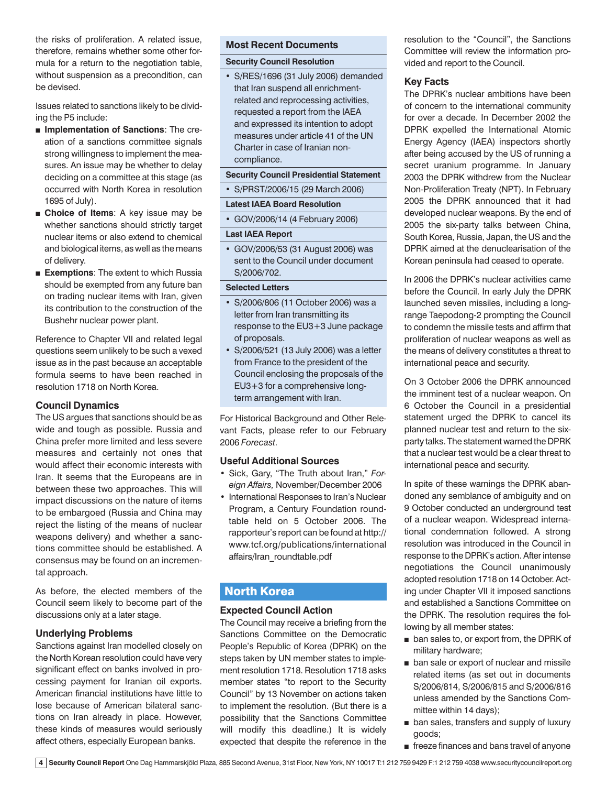the risks of proliferation. A related issue, therefore, remains whether some other formula for a return to the negotiation table. without suspension as a precondition, can be devised.

Issues related to sanctions likely to be dividing the P5 include:

- **Implementation of Sanctions**: The creation of a sanctions committee signals strong willingness to implement the measures. An issue may be whether to delay deciding on a committee at this stage (as occurred with North Korea in resolution 1695 of July).
- **Choice of Items**: A key issue may be whether sanctions should strictly target nuclear items or also extend to chemical and biological items, as well as the means of delivery.
- **Exemptions:** The extent to which Russia should be exempted from any future ban on trading nuclear items with Iran, given its contribution to the construction of the Bushehr nuclear power plant.

Reference to Chapter VII and related legal questions seem unlikely to be such a vexed issue as in the past because an acceptable formula seems to have been reached in resolution 1718 on North Korea.

# **Council Dynamics**

The US argues that sanctions should be as wide and tough as possible. Russia and China prefer more limited and less severe measures and certainly not ones that would affect their economic interests with Iran. It seems that the Europeans are in between these two approaches. This will impact discussions on the nature of items to be embargoed (Russia and China may reject the listing of the means of nuclear weapons delivery) and whether a sanctions committee should be established. A consensus may be found on an incremental approach.

As before, the elected members of the Council seem likely to become part of the discussions only at a later stage.

# **Underlying Problems**

Sanctions against Iran modelled closely on the North Korean resolution could have very significant effect on banks involved in processing payment for Iranian oil exports. American financial institutions have little to lose because of American bilateral sanctions on Iran already in place. However, these kinds of measures would seriously affect others, especially European banks.

#### **Most Recent Documents**

# **Security Council Resolution**

• S/RES/1696 (31 July 2006) demanded that Iran suspend all enrichmentrelated and reprocessing activities, requested a report from the IAEA and expressed its intention to adopt measures under article 41 of the UN Charter in case of Iranian noncompliance.

# **Security Council Presidential Statement**

• S/PRST/2006/15 (29 March 2006)

#### **Latest IAEA Board Resolution**

• GOV/2006/14 (4 February 2006)

#### **Last IAEA Report**

• GOV/2006/53 (31 August 2006) was sent to the Council under document S/2006/702.

#### **Selected Letters**

- S/2006/806 (11 October 2006) was a letter from Iran transmitting its response to the EU3+3 June package of proposals.
- S/2006/521 (13 July 2006) was a letter from France to the president of the Council enclosing the proposals of the EU3+3 for a comprehensive longterm arrangement with Iran.

For Historical Background and Other Relevant Facts, please refer to our February 2006 *Forecast*.

#### **Useful Additional Sources**

- Sick, Gary, "The Truth about Iran," *Foreign Affairs,* November/December 2006
- International Responses to Iran's Nuclear Program, a Century Foundation roundtable held on 5 October 2006. The rapporteur's report can be found at http:// www.tcf.org/publications/international affairs/Iran\_roundtable.pdf

# North Korea

# **Expected Council Action**

The Council may receive a briefing from the Sanctions Committee on the Democratic People's Republic of Korea (DPRK) on the steps taken by UN member states to implement resolution 1718. Resolution 1718 asks member states "to report to the Security Council" by 13 November on actions taken to implement the resolution. (But there is a possibility that the Sanctions Committee will modify this deadline.) It is widely expected that despite the reference in the resolution to the "Council", the Sanctions Committee will review the information provided and report to the Council.

#### **Key Facts**

The DPRK's nuclear ambitions have been of concern to the international community for over a decade. In December 2002 the DPRK expelled the International Atomic Energy Agency (IAEA) inspectors shortly after being accused by the US of running a secret uranium programme. In January 2003 the DPRK withdrew from the Nuclear Non-Proliferation Treaty (NPT). In February 2005 the DPRK announced that it had developed nuclear weapons. By the end of 2005 the six-party talks between China, South Korea, Russia, Japan, the US and the DPRK aimed at the denuclearisation of the Korean peninsula had ceased to operate.

In 2006 the DPRK's nuclear activities came before the Council. In early July the DPRK launched seven missiles, including a longrange Taepodong-2 prompting the Council to condemn the missile tests and affirm that proliferation of nuclear weapons as well as the means of delivery constitutes a threat to international peace and security.

On 3 October 2006 the DPRK announced the imminent test of a nuclear weapon. On 6 October the Council in a presidential statement urged the DPRK to cancel its planned nuclear test and return to the sixparty talks. The statement warned the DPRK that a nuclear test would be a clear threat to international peace and security.

In spite of these warnings the DPRK abandoned any semblance of ambiguity and on 9 October conducted an underground test of a nuclear weapon. Widespread international condemnation followed. A strong resolution was introduced in the Council in response to the DPRK's action. After intense negotiations the Council unanimously adopted resolution 1718 on 14 October. Acting under Chapter VII it imposed sanctions and established a Sanctions Committee on the DPRK. The resolution requires the following by all member states:

- ban sales to, or export from, the DPRK of military hardware;
- ban sale or export of nuclear and missile related items (as set out in documents S/2006/814, S/2006/815 and S/2006/816 unless amended by the Sanctions Committee within 14 days);
- ban sales, transfers and supply of luxury goods;
- freeze finances and bans travel of anyone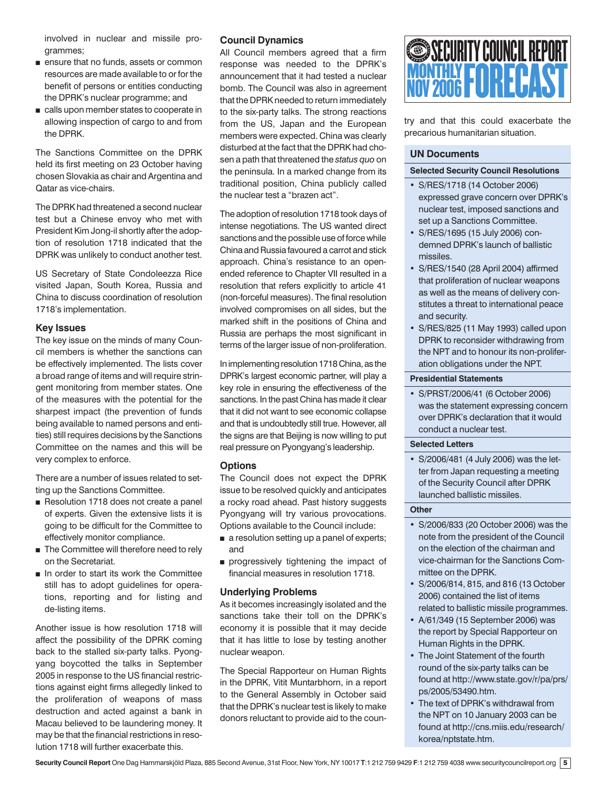involved in nuclear and missile programmes;

- ensure that no funds, assets or common resources are made available to or for the benefit of persons or entities conducting the DPRK's nuclear programme; and
- calls upon member states to cooperate in allowing inspection of cargo to and from the DPRK.

The Sanctions Committee on the DPRK held its first meeting on 23 October having chosen Slovakia as chair and Argentina and Qatar as vice-chairs.

The DPRK had threatened a second nuclear test but a Chinese envoy who met with President Kim Jong-il shortly after the adoption of resolution 1718 indicated that the DPRK was unlikely to conduct another test.

US Secretary of State Condoleezza Rice visited Japan, South Korea, Russia and China to discuss coordination of resolution 1718's implementation.

# **Key Issues**

The key issue on the minds of many Council members is whether the sanctions can be effectively implemented. The lists cover a broad range of items and will require stringent monitoring from member states. One of the measures with the potential for the sharpest impact (the prevention of funds being available to named persons and entities) still requires decisions by the Sanctions Committee on the names and this will be very complex to enforce.

There are a number of issues related to setting up the Sanctions Committee.

- Resolution 1718 does not create a panel of experts. Given the extensive lists it is going to be difficult for the Committee to effectively monitor compliance.
- The Committee will therefore need to rely on the Secretariat.
- In order to start its work the Committee still has to adopt guidelines for operations, reporting and for listing and de-listing items.

Another issue is how resolution 1718 will affect the possibility of the DPRK coming back to the stalled six-party talks. Pyongyang boycotted the talks in September 2005 in response to the US financial restrictions against eight firms allegedly linked to the proliferation of weapons of mass destruction and acted against a bank in Macau believed to be laundering money. It may be that the financial restrictions in resolution 1718 will further exacerbate this.

# **Council Dynamics**

All Council members agreed that a firm response was needed to the DPRK's announcement that it had tested a nuclear bomb. The Council was also in agreement that the DPRK needed to return immediately to the six-party talks. The strong reactions from the US, Japan and the European members were expected. China was clearly disturbed at the fact that the DPRK had chosen a path that threatened the *status quo* on the peninsula. In a marked change from its traditional position, China publicly called the nuclear test a "brazen act".

The adoption of resolution 1718 took days of intense negotiations. The US wanted direct sanctions and the possible use of force while China and Russia favoured a carrot and stick approach. China's resistance to an openended reference to Chapter VII resulted in a resolution that refers explicitly to article 41 (non-forceful measures). The final resolution involved compromises on all sides, but the marked shift in the positions of China and Russia are perhaps the most significant in terms of the larger issue of non-proliferation.

In implementing resolution 1718 China, as the DPRK's largest economic partner, will play a key role in ensuring the effectiveness of the sanctions. In the past China has made it clear that it did not want to see economic collapse and that is undoubtedly still true. However, all the signs are that Beijing is now willing to put real pressure on Pyongyang's leadership.

# **Options**

The Council does not expect the DPRK issue to be resolved quickly and anticipates a rocky road ahead. Past history suggests Pyongyang will try various provocations. Options available to the Council include:

- a resolution setting up a panel of experts; and
- progressively tightening the impact of financial measures in resolution 1718.

# **Underlying Problems**

As it becomes increasingly isolated and the sanctions take their toll on the DPRK's economy it is possible that it may decide that it has little to lose by testing another nuclear weapon.

The Special Rapporteur on Human Rights in the DPRK, Vitit Muntarbhorn, in a report to the General Assembly in October said that the DPRK's nuclear test is likely to make donors reluctant to provide aid to the coun-



try and that this could exacerbate the precarious humanitarian situation.

# **UN Documents**

#### **Selected Security Council Resolutions**

- S/RES/1718 (14 October 2006) expressed grave concern over DPRK's nuclear test, imposed sanctions and set up a Sanctions Committee.
- S/RES/1695 (15 July 2006) condemned DPRK's launch of ballistic missiles.
- S/RES/1540 (28 April 2004) affirmed that proliferation of nuclear weapons as well as the means of delivery constitutes a threat to international peace and security.
- S/RES/825 (11 May 1993) called upon DPRK to reconsider withdrawing from the NPT and to honour its non-proliferation obligations under the NPT.

#### **Presidential Statements**

• S/PRST/2006/41 (6 October 2006) was the statement expressing concern over DPRK's declaration that it would conduct a nuclear test.

#### **Selected Letters**

• S/2006/481 (4 July 2006) was the letter from Japan requesting a meeting of the Security Council after DPRK launched ballistic missiles.

# **Other**

- S/2006/833 (20 October 2006) was the note from the president of the Council on the election of the chairman and vice-chairman for the Sanctions Committee on the DPRK.
- S/2006/814, 815, and 816 (13 October 2006) contained the list of items related to ballistic missile programmes.
- A/61/349 (15 September 2006) was the report by Special Rapporteur on Human Rights in the DPRK.
- The Joint Statement of the fourth round of the six-party talks can be found at http://www.state.gov/r/pa/prs/ ps/2005/53490.htm.
- The text of DPRK's withdrawal from the NPT on 10 January 2003 can be found at http://cns.miis.edu/research/ korea/nptstate.htm.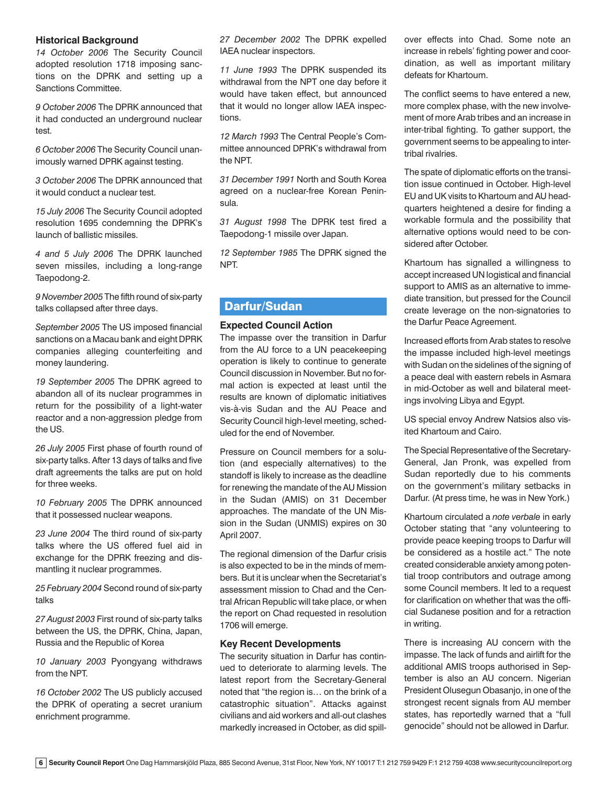#### **Historical Background**

*14 October 2006* The Security Council adopted resolution 1718 imposing sanctions on the DPRK and setting up a Sanctions Committee.

*9 October 2006* The DPRK announced that it had conducted an underground nuclear test.

*6 October 2006* The Security Council unanimously warned DPRK against testing.

*3 October 2006* The DPRK announced that it would conduct a nuclear test.

*15 July 2006* The Security Council adopted resolution 1695 condemning the DPRK's launch of ballistic missiles.

*4 and 5 July 2006* The DPRK launched seven missiles, including a long-range Taepodong-2.

*9 November 2005* The fifth round of six-party talks collapsed after three days.

*September 2005* The US imposed financial sanctions on a Macau bank and eight DPRK companies alleging counterfeiting and money laundering.

*19 September 2005* The DPRK agreed to abandon all of its nuclear programmes in return for the possibility of a light-water reactor and a non-aggression pledge from the US.

*26 July 2005* First phase of fourth round of six-party talks. After 13 days of talks and five draft agreements the talks are put on hold for three weeks.

*10 February 2005* The DPRK announced that it possessed nuclear weapons.

*23 June 2004* The third round of six-party talks where the US offered fuel aid in exchange for the DPRK freezing and dismantling it nuclear programmes.

*25 February 2004* Second round of six-party talks

*27 August 2003* First round of six-party talks between the US, the DPRK, China, Japan, Russia and the Republic of Korea

*10 January 2003* Pyongyang withdraws from the NPT.

*16 October 2002* The US publicly accused the DPRK of operating a secret uranium enrichment programme.

*27 December 2002* The DPRK expelled IAEA nuclear inspectors.

*11 June 1993* The DPRK suspended its withdrawal from the NPT one day before it would have taken effect, but announced that it would no longer allow IAEA inspections.

*12 March 1993* The Central People's Committee announced DPRK's withdrawal from the NPT.

*31 December 1991* North and South Korea agreed on a nuclear-free Korean Peninsula.

*31 August 1998* The DPRK test fired a Taepodong-1 missile over Japan.

*12 September 1985* The DPRK signed the NPT.

# Darfur/Sudan

# **Expected Council Action**

The impasse over the transition in Darfur from the AU force to a UN peacekeeping operation is likely to continue to generate Council discussion in November. But no formal action is expected at least until the results are known of diplomatic initiatives vis-à-vis Sudan and the AU Peace and Security Council high-level meeting, scheduled for the end of November.

Pressure on Council members for a solution (and especially alternatives) to the standoff is likely to increase as the deadline for renewing the mandate of the AU Mission in the Sudan (AMIS) on 31 December approaches. The mandate of the UN Mission in the Sudan (UNMIS) expires on 30 April 2007.

The regional dimension of the Darfur crisis is also expected to be in the minds of members. But it is unclear when the Secretariat's assessment mission to Chad and the Central African Republic will take place, or when the report on Chad requested in resolution 1706 will emerge.

#### **Key Recent Developments**

The security situation in Darfur has continued to deteriorate to alarming levels. The latest report from the Secretary-General noted that "the region is… on the brink of a catastrophic situation". Attacks against civilians and aid workers and all-out clashes markedly increased in October, as did spillover effects into Chad. Some note an increase in rebels' fighting power and coordination, as well as important military defeats for Khartoum.

The conflict seems to have entered a new, more complex phase, with the new involvement of more Arab tribes and an increase in inter-tribal fighting. To gather support, the government seems to be appealing to intertribal rivalries.

The spate of diplomatic efforts on the transition issue continued in October. High-level EU and UK visits to Khartoum and AU headquarters heightened a desire for finding a workable formula and the possibility that alternative options would need to be considered after October.

Khartoum has signalled a willingness to accept increased UN logistical and financial support to AMIS as an alternative to immediate transition, but pressed for the Council create leverage on the non-signatories to the Darfur Peace Agreement.

Increased efforts from Arab states to resolve the impasse included high-level meetings with Sudan on the sidelines of the signing of a peace deal with eastern rebels in Asmara in mid-October as well and bilateral meetings involving Libya and Egypt.

US special envoy Andrew Natsios also visited Khartoum and Cairo.

The Special Representative of the Secretary-General, Jan Pronk, was expelled from Sudan reportedly due to his comments on the government's military setbacks in Darfur. (At press time, he was in New York.)

Khartoum circulated a *note verbale* in early October stating that "any volunteering to provide peace keeping troops to Darfur will be considered as a hostile act." The note created considerable anxiety among potential troop contributors and outrage among some Council members. It led to a request for clarification on whether that was the official Sudanese position and for a retraction in writing.

There is increasing AU concern with the impasse. The lack of funds and airlift for the additional AMIS troops authorised in September is also an AU concern. Nigerian President Olusegun Obasanjo, in one of the strongest recent signals from AU member states, has reportedly warned that a "full genocide" should not be allowed in Darfur.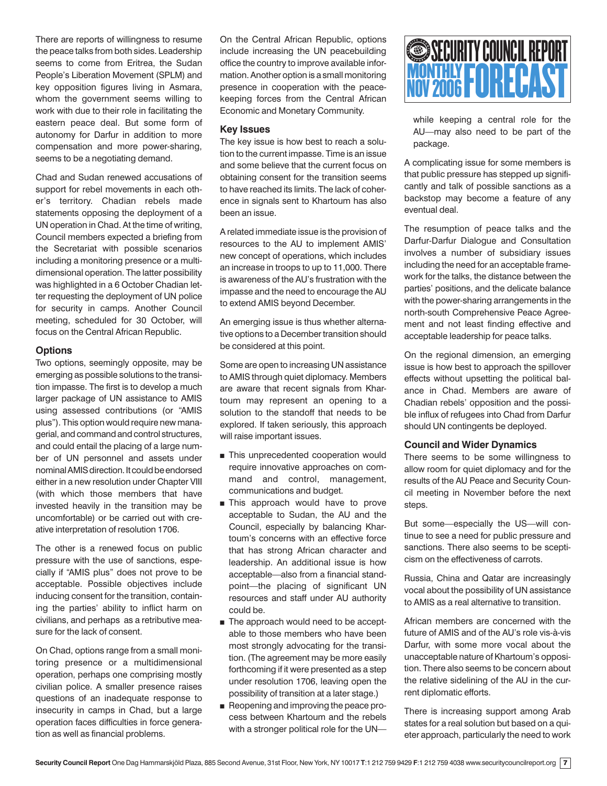There are reports of willingness to resume the peace talks from both sides. Leadership seems to come from Eritrea, the Sudan People's Liberation Movement (SPLM) and key opposition figures living in Asmara, whom the government seems willing to work with due to their role in facilitating the eastern peace deal. But some form of autonomy for Darfur in addition to more compensation and more power-sharing, seems to be a negotiating demand.

Chad and Sudan renewed accusations of support for rebel movements in each other's territory. Chadian rebels made statements opposing the deployment of a UN operation in Chad. At the time of writing, Council members expected a briefing from the Secretariat with possible scenarios including a monitoring presence or a multidimensional operation. The latter possibility was highlighted in a 6 October Chadian letter requesting the deployment of UN police for security in camps. Another Council meeting, scheduled for 30 October, will focus on the Central African Republic.

# **Options**

Two options, seemingly opposite, may be emerging as possible solutions to the transition impasse. The first is to develop a much larger package of UN assistance to AMIS using assessed contributions (or "AMIS plus"). This option would require new managerial, and command and control structures, and could entail the placing of a large number of UN personnel and assets under nominal AMIS direction. It could be endorsed either in a new resolution under Chapter VIII (with which those members that have invested heavily in the transition may be uncomfortable) or be carried out with creative interpretation of resolution 1706.

The other is a renewed focus on public pressure with the use of sanctions, especially if "AMIS plus" does not prove to be acceptable. Possible objectives include inducing consent for the transition, containing the parties' ability to inflict harm on civilians, and perhaps as a retributive measure for the lack of consent.

On Chad, options range from a small monitoring presence or a multidimensional operation, perhaps one comprising mostly civilian police. A smaller presence raises questions of an inadequate response to insecurity in camps in Chad, but a large operation faces difficulties in force generation as well as financial problems.

On the Central African Republic, options include increasing the UN peacebuilding office the country to improve available information. Another option is a small monitoring presence in cooperation with the peacekeeping forces from the Central African Economic and Monetary Community.

# **Key Issues**

The key issue is how best to reach a solution to the current impasse. Time is an issue and some believe that the current focus on obtaining consent for the transition seems to have reached its limits. The lack of coherence in signals sent to Khartoum has also been an issue.

A related immediate issue is the provision of resources to the AU to implement AMIS' new concept of operations, which includes an increase in troops to up to 11,000. There is awareness of the AU's frustration with the impasse and the need to encourage the AU to extend AMIS beyond December.

An emerging issue is thus whether alternative options to a December transition should be considered at this point.

Some are open to increasing UN assistance to AMIS through quiet diplomacy. Members are aware that recent signals from Khartoum may represent an opening to a solution to the standoff that needs to be explored. If taken seriously, this approach will raise important issues.

- This unprecedented cooperation would require innovative approaches on command and control, management, communications and budget.
- This approach would have to prove acceptable to Sudan, the AU and the Council, especially by balancing Khartoum's concerns with an effective force that has strong African character and leadership. An additional issue is how acceptable—also from a financial standpoint—the placing of significant UN resources and staff under AU authority could be.
- The approach would need to be acceptable to those members who have been most strongly advocating for the transition. (The agreement may be more easily forthcoming if it were presented as a step under resolution 1706, leaving open the possibility of transition at a later stage.)
- Reopening and improving the peace process between Khartoum and the rebels with a stronger political role for the UN—



while keeping a central role for the AU—may also need to be part of the package.

A complicating issue for some members is that public pressure has stepped up significantly and talk of possible sanctions as a backstop may become a feature of any eventual deal.

The resumption of peace talks and the Darfur-Darfur Dialogue and Consultation involves a number of subsidiary issues including the need for an acceptable framework for the talks, the distance between the parties' positions, and the delicate balance with the power-sharing arrangements in the north-south Comprehensive Peace Agreement and not least finding effective and acceptable leadership for peace talks.

On the regional dimension, an emerging issue is how best to approach the spillover effects without upsetting the political balance in Chad. Members are aware of Chadian rebels' opposition and the possible influx of refugees into Chad from Darfur should UN contingents be deployed.

#### **Council and Wider Dynamics**

There seems to be some willingness to allow room for quiet diplomacy and for the results of the AU Peace and Security Council meeting in November before the next steps.

But some—especially the US—will continue to see a need for public pressure and sanctions. There also seems to be scepticism on the effectiveness of carrots.

Russia, China and Qatar are increasingly vocal about the possibility of UN assistance to AMIS as a real alternative to transition.

African members are concerned with the future of AMIS and of the AU's role vis-à-vis Darfur, with some more vocal about the unacceptable nature of Khartoum's opposition. There also seems to be concern about the relative sidelining of the AU in the current diplomatic efforts.

There is increasing support among Arab states for a real solution but based on a quieter approach, particularly the need to work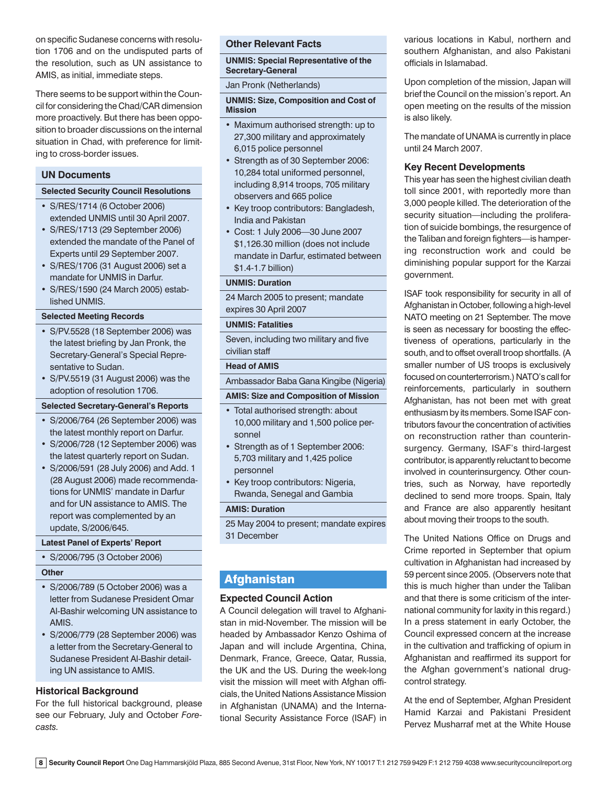on specific Sudanese concerns with resolution 1706 and on the undisputed parts of the resolution, such as UN assistance to AMIS, as initial, immediate steps.

There seems to be support within the Council for considering the Chad/CAR dimension more proactively. But there has been opposition to broader discussions on the internal situation in Chad, with preference for limiting to cross-border issues.

# **UN Documents**

#### **Selected Security Council Resolutions**

- S/RES/1714 (6 October 2006) extended UNMIS until 30 April 2007.
- S/RES/1713 (29 September 2006) extended the mandate of the Panel of Experts until 29 September 2007.
- S/RES/1706 (31 August 2006) set a mandate for UNMIS in Darfur.
- S/RES/1590 (24 March 2005) established UNMIS.

#### **Selected Meeting Records**

- S/PV.5528 (18 September 2006) was the latest briefing by Jan Pronk, the Secretary-General's Special Representative to Sudan.
- S/PV.5519 (31 August 2006) was the adoption of resolution 1706.

#### **Selected Secretary-General's Reports**

- S/2006/764 (26 September 2006) was the latest monthly report on Darfur.
- S/2006/728 (12 September 2006) was the latest quarterly report on Sudan.
- S/2006/591 (28 July 2006) and Add. 1 (28 August 2006) made recommendations for UNMIS' mandate in Darfur and for UN assistance to AMIS. The report was complemented by an update, S/2006/645.

#### **Latest Panel of Experts' Report**

• S/2006/795 (3 October 2006)

#### **Other**

- S/2006/789 (5 October 2006) was a letter from Sudanese President Omar Al-Bashir welcoming UN assistance to AMIS.
- S/2006/779 (28 September 2006) was a letter from the Secretary-General to Sudanese President Al-Bashir detailing UN assistance to AMIS.

# **Historical Background**

For the full historical background, please see our February, July and October *Forecasts.*

#### **Other Relevant Facts**

**UNMIS: Special Representative of the Secretary-General** 

Jan Pronk (Netherlands)

#### **UNMIS: Size, Composition and Cost of Mission**

- Maximum authorised strength: up to 27,300 military and approximately 6,015 police personnel
- Strength as of 30 September 2006: 10,284 total uniformed personnel, including 8,914 troops, 705 military observers and 665 police
- Key troop contributors: Bangladesh, India and Pakistan
- Cost: 1 July 2006—30 June 2007 \$1,126.30 million (does not include mandate in Darfur, estimated between \$1.4-1.7 billion)

#### **UNMIS: Duration**

24 March 2005 to present; mandate expires 30 April 2007

#### **UNMIS: Fatalities**

Seven, including two military and five civilian staff

#### **Head of AMIS**

Ambassador Baba Gana Kingibe (Nigeria)

#### **AMIS: Size and Composition of Mission**

- Total authorised strength: about 10,000 military and 1,500 police personnel
- Strength as of 1 September 2006: 5,703 military and 1,425 police personnel
- Key troop contributors: Nigeria, Rwanda, Senegal and Gambia

#### **AMIS: Duration**

25 May 2004 to present; mandate expires 31 December

# **Afghanistan**

# **Expected Council Action**

A Council delegation will travel to Afghanistan in mid-November. The mission will be headed by Ambassador Kenzo Oshima of Japan and will include Argentina, China, Denmark, France, Greece, Qatar, Russia, the UK and the US. During the week-long visit the mission will meet with Afghan officials, the United Nations Assistance Mission in Afghanistan (UNAMA) and the International Security Assistance Force (ISAF) in various locations in Kabul, northern and southern Afghanistan, and also Pakistani officials in Islamabad.

Upon completion of the mission, Japan will brief the Council on the mission's report. An open meeting on the results of the mission is also likely.

The mandate of UNAMA is currently in place until 24 March 2007.

# **Key Recent Developments**

This year has seen the highest civilian death toll since 2001, with reportedly more than 3,000 people killed. The deterioration of the security situation—including the proliferation of suicide bombings, the resurgence of the Taliban and foreign fighters—is hampering reconstruction work and could be diminishing popular support for the Karzai government.

ISAF took responsibility for security in all of Afghanistan in October, following a high-level NATO meeting on 21 September. The move is seen as necessary for boosting the effectiveness of operations, particularly in the south, and to offset overall troop shortfalls. (A smaller number of US troops is exclusively focused on counterterrorism.) NATO's call for reinforcements, particularly in southern Afghanistan, has not been met with great enthusiasm by its members. Some ISAF contributors favour the concentration of activities on reconstruction rather than counterinsurgency. Germany, ISAF's third-largest contributor, is apparently reluctant to become involved in counterinsurgency. Other countries, such as Norway, have reportedly declined to send more troops. Spain, Italy and France are also apparently hesitant about moving their troops to the south.

The United Nations Office on Drugs and Crime reported in September that opium cultivation in Afghanistan had increased by 59 percent since 2005. (Observers note that this is much higher than under the Taliban and that there is some criticism of the international community for laxity in this regard.) In a press statement in early October, the Council expressed concern at the increase in the cultivation and trafficking of opium in Afghanistan and reaffirmed its support for the Afghan government's national drugcontrol strategy.

At the end of September, Afghan President Hamid Karzai and Pakistani President Pervez Musharraf met at the White House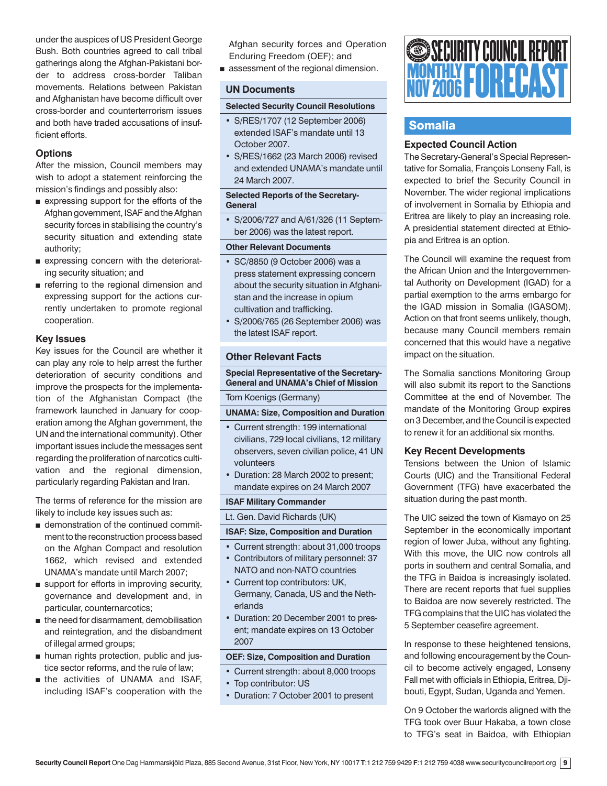under the auspices of US President George Bush. Both countries agreed to call tribal gatherings along the Afghan-Pakistani border to address cross-border Taliban movements. Relations between Pakistan and Afghanistan have become difficult over cross-border and counterterrorism issues and both have traded accusations of insufficient efforts.

# **Options**

After the mission, Council members may wish to adopt a statement reinforcing the mission's findings and possibly also:

- expressing support for the efforts of the Afghan government, ISAF and the Afghan security forces in stabilising the country's security situation and extending state authority;
- expressing concern with the deteriorating security situation; and
- referring to the regional dimension and expressing support for the actions currently undertaken to promote regional cooperation.

# **Key Issues**

Key issues for the Council are whether it can play any role to help arrest the further deterioration of security conditions and improve the prospects for the implementation of the Afghanistan Compact (the framework launched in January for cooperation among the Afghan government, the UN and the international community). Other important issues include the messages sent regarding the proliferation of narcotics cultivation and the regional dimension, particularly regarding Pakistan and Iran.

The terms of reference for the mission are likely to include key issues such as:

- demonstration of the continued commitment to the reconstruction process based on the Afghan Compact and resolution 1662, which revised and extended UNAMA's mandate until March 2007;
- support for efforts in improving security, governance and development and, in particular, counternarcotics;
- the need for disarmament, demobilisation and reintegration, and the disbandment of illegal armed groups;
- human rights protection, public and justice sector reforms, and the rule of law;
- the activities of UNAMA and ISAF. including ISAF's cooperation with the

Afghan security forces and Operation Enduring Freedom (OEF); and

■ assessment of the regional dimension.

# **UN Documents**

# **Selected Security Council Resolutions**

- S/RES/1707 (12 September 2006) extended ISAF's mandate until 13 October 2007.
- S/RES/1662 (23 March 2006) revised and extended UNAMA's mandate until 24 March 2007.

# **Selected Reports of the Secretary-General**

• S/2006/727 and A/61/326 (11 September 2006) was the latest report.

# **Other Relevant Documents**

- SC/8850 (9 October 2006) was a press statement expressing concern about the security situation in Afghanistan and the increase in opium cultivation and trafficking.
- S/2006/765 (26 September 2006) was the latest ISAF report.

# **Other Relevant Facts**

**Special Representative of the Secretary-General and UNAMA's Chief of Mission**

Tom Koenigs (Germany)

# **UNAMA: Size, Composition and Duration**

- Current strength: 199 international civilians, 729 local civilians, 12 military observers, seven civilian police, 41 UN volunteers
- Duration: 28 March 2002 to present; mandate expires on 24 March 2007

# **ISAF Military Commander**

Lt. Gen. David Richards (UK)

# **ISAF: Size, Composition and Duration**

- Current strength: about 31,000 troops
- Contributors of military personnel: 37 NATO and non-NATO countries
- Current top contributors: UK, Germany, Canada, US and the Netherlands
- Duration: 20 December 2001 to present; mandate expires on 13 October 2007

# **OEF: Size, Composition and Duration**

- Current strength: about 8,000 troops
- Top contributor: US
- Duration: 7 October 2001 to present



# Somalia

# **Expected Council Action**

The Secretary-General's Special Representative for Somalia, François Lonseny Fall, is expected to brief the Security Council in November. The wider regional implications of involvement in Somalia by Ethiopia and Eritrea are likely to play an increasing role. A presidential statement directed at Ethiopia and Eritrea is an option.

The Council will examine the request from the African Union and the Intergovernmental Authority on Development (IGAD) for a partial exemption to the arms embargo for the IGAD mission in Somalia (IGASOM). Action on that front seems unlikely, though, because many Council members remain concerned that this would have a negative impact on the situation.

The Somalia sanctions Monitoring Group will also submit its report to the Sanctions Committee at the end of November. The mandate of the Monitoring Group expires on 3 December, and the Council is expected to renew it for an additional six months.

# **Key Recent Developments**

Tensions between the Union of Islamic Courts (UIC) and the Transitional Federal Government (TFG) have exacerbated the situation during the past month.

The UIC seized the town of Kismayo on 25 September in the economically important region of lower Juba, without any fighting. With this move, the UIC now controls all ports in southern and central Somalia, and the TFG in Baidoa is increasingly isolated. There are recent reports that fuel supplies to Baidoa are now severely restricted. The TFG complains that the UIC has violated the 5 September ceasefire agreement.

In response to these heightened tensions, and following encouragement by the Council to become actively engaged, Lonseny Fall met with officials in Ethiopia, Eritrea, Djibouti, Egypt, Sudan, Uganda and Yemen.

On 9 October the warlords aligned with the TFG took over Buur Hakaba, a town close to TFG's seat in Baidoa, with Ethiopian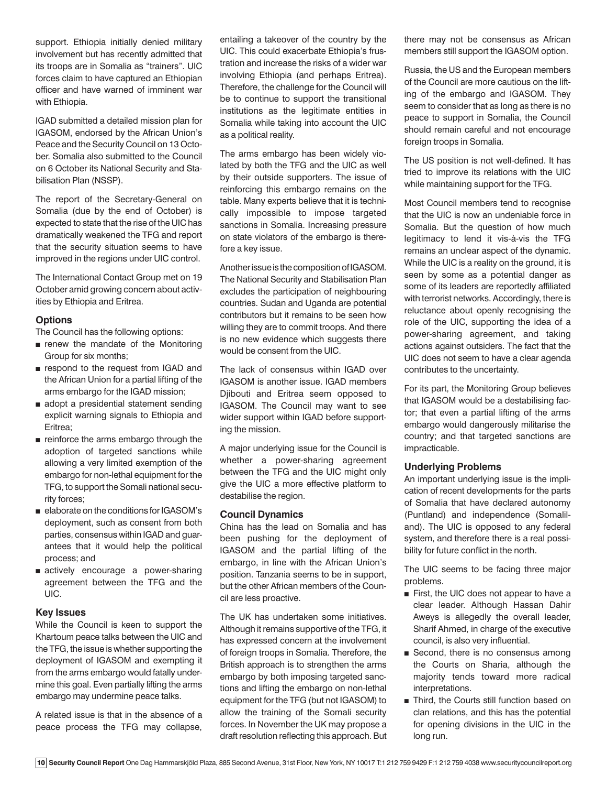support. Ethiopia initially denied military involvement but has recently admitted that its troops are in Somalia as "trainers". UIC forces claim to have captured an Ethiopian officer and have warned of imminent war with Ethiopia.

IGAD submitted a detailed mission plan for IGASOM, endorsed by the African Union's Peace and the Security Council on 13 October. Somalia also submitted to the Council on 6 October its National Security and Stabilisation Plan (NSSP).

The report of the Secretary-General on Somalia (due by the end of October) is expected to state that the rise of the UIC has dramatically weakened the TFG and report that the security situation seems to have improved in the regions under UIC control.

The International Contact Group met on 19 October amid growing concern about activities by Ethiopia and Eritrea.

# **Options**

The Council has the following options:

- renew the mandate of the Monitoring Group for six months;
- respond to the request from IGAD and the African Union for a partial lifting of the arms embargo for the IGAD mission;
- adopt a presidential statement sending explicit warning signals to Ethiopia and Eritrea;
- reinforce the arms embargo through the adoption of targeted sanctions while allowing a very limited exemption of the embargo for non-lethal equipment for the TFG, to support the Somali national security forces;
- elaborate on the conditions for IGASOM's deployment, such as consent from both parties, consensus within IGAD and guarantees that it would help the political process; and
- actively encourage a power-sharing agreement between the TFG and the UIC.

# **Key Issues**

While the Council is keen to support the Khartoum peace talks between the UIC and the TFG, the issue is whether supporting the deployment of IGASOM and exempting it from the arms embargo would fatally undermine this goal. Even partially lifting the arms embargo may undermine peace talks.

A related issue is that in the absence of a peace process the TFG may collapse,

entailing a takeover of the country by the UIC. This could exacerbate Ethiopia's frustration and increase the risks of a wider war involving Ethiopia (and perhaps Eritrea). Therefore, the challenge for the Council will be to continue to support the transitional institutions as the legitimate entities in Somalia while taking into account the UIC as a political reality.

The arms embargo has been widely violated by both the TFG and the UIC as well by their outside supporters. The issue of reinforcing this embargo remains on the table. Many experts believe that it is technically impossible to impose targeted sanctions in Somalia. Increasing pressure on state violators of the embargo is therefore a key issue.

Another issue is the composition of IGASOM. The National Security and Stabilisation Plan excludes the participation of neighbouring countries. Sudan and Uganda are potential contributors but it remains to be seen how willing they are to commit troops. And there is no new evidence which suggests there would be consent from the UIC.

The lack of consensus within IGAD over IGASOM is another issue. IGAD members Djibouti and Eritrea seem opposed to IGASOM. The Council may want to see wider support within IGAD before supporting the mission.

A major underlying issue for the Council is whether a power-sharing agreement between the TFG and the UIC might only give the UIC a more effective platform to destabilise the region.

# **Council Dynamics**

China has the lead on Somalia and has been pushing for the deployment of IGASOM and the partial lifting of the embargo, in line with the African Union's position. Tanzania seems to be in support, but the other African members of the Council are less proactive.

The UK has undertaken some initiatives. Although it remains supportive of the TFG, it has expressed concern at the involvement of foreign troops in Somalia. Therefore, the British approach is to strengthen the arms embargo by both imposing targeted sanctions and lifting the embargo on non-lethal equipment for the TFG (but not IGASOM) to allow the training of the Somali security forces. In November the UK may propose a draft resolution reflecting this approach. But

there may not be consensus as African members still support the IGASOM option.

Russia, the US and the European members of the Council are more cautious on the lifting of the embargo and IGASOM. They seem to consider that as long as there is no peace to support in Somalia, the Council should remain careful and not encourage foreign troops in Somalia.

The US position is not well-defined. It has tried to improve its relations with the UIC while maintaining support for the TFG.

Most Council members tend to recognise that the UIC is now an undeniable force in Somalia. But the question of how much legitimacy to lend it vis-à-vis the TFG remains an unclear aspect of the dynamic. While the UIC is a reality on the ground, it is seen by some as a potential danger as some of its leaders are reportedly affiliated with terrorist networks. Accordingly, there is reluctance about openly recognising the role of the UIC, supporting the idea of a power-sharing agreement, and taking actions against outsiders. The fact that the UIC does not seem to have a clear agenda contributes to the uncertainty.

For its part, the Monitoring Group believes that IGASOM would be a destabilising factor; that even a partial lifting of the arms embargo would dangerously militarise the country; and that targeted sanctions are impracticable.

# **Underlying Problems**

An important underlying issue is the implication of recent developments for the parts of Somalia that have declared autonomy (Puntland) and independence (Somaliland). The UIC is opposed to any federal system, and therefore there is a real possibility for future conflict in the north.

The UIC seems to be facing three major problems.

- First, the UIC does not appear to have a clear leader. Although Hassan Dahir Aweys is allegedly the overall leader, Sharif Ahmed, in charge of the executive council, is also very influential.
- Second, there is no consensus among the Courts on Sharia, although the majority tends toward more radical interpretations.
- Third, the Courts still function based on clan relations, and this has the potential for opening divisions in the UIC in the long run.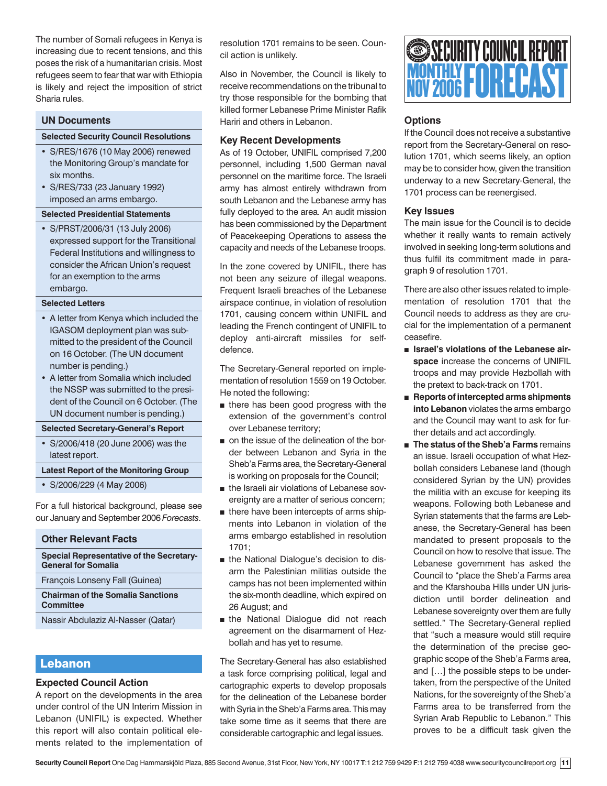The number of Somali refugees in Kenya is increasing due to recent tensions, and this poses the risk of a humanitarian crisis. Most refugees seem to fear that war with Ethiopia is likely and reject the imposition of strict Sharia rules.

# **UN Documents**

#### **Selected Security Council Resolutions**

- S/RES/1676 (10 May 2006) renewed the Monitoring Group's mandate for six months.
- S/RES/733 (23 January 1992) imposed an arms embargo.

#### **Selected Presidential Statements**

• S/PRST/2006/31 (13 July 2006) expressed support for the Transitional Federal Institutions and willingness to consider the African Union's request for an exemption to the arms embargo.

#### **Selected Letters**

- A letter from Kenya which included the IGASOM deployment plan was submitted to the president of the Council on 16 October. (The UN document number is pending.)
- A letter from Somalia which included the NSSP was submitted to the president of the Council on 6 October. (The UN document number is pending.)

# **Selected Secretary-General's Report**

• S/2006/418 (20 June 2006) was the latest report.

#### **Latest Report of the Monitoring Group**

• S/2006/229 (4 May 2006)

For a full historical background, please see our January and September 2006 *Forecasts*.

# **Other Relevant Facts**

**Special Representative of the Secretary-General for Somalia**

François Lonseny Fall (Guinea)

# **Chairman of the Somalia Sanctions Committee**

Nassir Abdulaziz Al-Nasser (Qatar)

# Lebanon

# **Expected Council Action**

A report on the developments in the area under control of the UN Interim Mission in Lebanon (UNIFIL) is expected. Whether this report will also contain political elements related to the implementation of

resolution 1701 remains to be seen. Council action is unlikely.

Also in November, the Council is likely to receive recommendations on the tribunal to try those responsible for the bombing that killed former Lebanese Prime Minister Rafik Hariri and others in Lebanon.

# **Key Recent Developments**

As of 19 October, UNIFIL comprised 7,200 personnel, including 1,500 German naval personnel on the maritime force. The Israeli army has almost entirely withdrawn from south Lebanon and the Lebanese army has fully deployed to the area. An audit mission has been commissioned by the Department of Peacekeeping Operations to assess the capacity and needs of the Lebanese troops.

In the zone covered by UNIFIL, there has not been any seizure of illegal weapons. Frequent Israeli breaches of the Lebanese airspace continue, in violation of resolution 1701, causing concern within UNIFIL and leading the French contingent of UNIFIL to deploy anti-aircraft missiles for selfdefence.

The Secretary-General reported on implementation of resolution 1559 on 19 October. He noted the following:

- there has been good progress with the extension of the government's control over Lebanese territory;
- on the issue of the delineation of the border between Lebanon and Syria in the Sheb'a Farms area, the Secretary-General is working on proposals for the Council;
- the Israeli air violations of Lebanese sovereignty are a matter of serious concern;
- there have been intercepts of arms shipments into Lebanon in violation of the arms embargo established in resolution 1701;
- the National Dialogue's decision to disarm the Palestinian militias outside the camps has not been implemented within the six-month deadline, which expired on 26 August; and
- the National Dialogue did not reach agreement on the disarmament of Hezbollah and has yet to resume.

The Secretary-General has also established a task force comprising political, legal and cartographic experts to develop proposals for the delineation of the Lebanese border with Syria in the Sheb'a Farms area. This may take some time as it seems that there are considerable cartographic and legal issues.



# **Options**

If the Council does not receive a substantive report from the Secretary-General on resolution 1701, which seems likely, an option may be to consider how, given the transition underway to a new Secretary-General, the 1701 process can be reenergised.

# **Key Issues**

The main issue for the Council is to decide whether it really wants to remain actively involved in seeking long-term solutions and thus fulfil its commitment made in paragraph 9 of resolution 1701.

There are also other issues related to implementation of resolution 1701 that the Council needs to address as they are crucial for the implementation of a permanent ceasefire.

- Israel's violations of the Lebanese air**space** increase the concerns of UNIFIL troops and may provide Hezbollah with the pretext to back-track on 1701.
- **Reports of intercepted arms shipments into Lebanon** violates the arms embargo and the Council may want to ask for further details and act accordingly.
- **The status of the Sheb'a Farms** remains an issue. Israeli occupation of what Hezbollah considers Lebanese land (though considered Syrian by the UN) provides the militia with an excuse for keeping its weapons. Following both Lebanese and Syrian statements that the farms are Lebanese, the Secretary-General has been mandated to present proposals to the Council on how to resolve that issue. The Lebanese government has asked the Council to "place the Sheb'a Farms area and the Kfarshouba Hills under UN jurisdiction until border delineation and Lebanese sovereignty over them are fully settled." The Secretary-General replied that "such a measure would still require the determination of the precise geographic scope of the Sheb'a Farms area, and […] the possible steps to be undertaken, from the perspective of the United Nations, for the sovereignty of the Sheb'a Farms area to be transferred from the Syrian Arab Republic to Lebanon." This proves to be a difficult task given the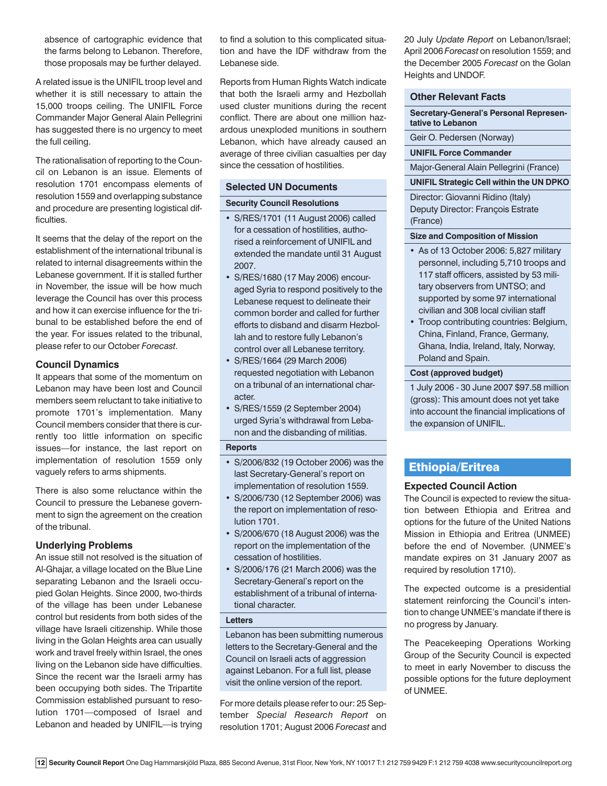absence of cartographic evidence that the farms belong to Lebanon. Therefore, those proposals may be further delayed.

A related issue is the UNIFIL troop level and whether it is still necessary to attain the 15,000 troops ceiling. The UNIFIL Force Commander Major General Alain Pellegrini has suggested there is no urgency to meet the full ceiling.

The rationalisation of reporting to the Council on Lebanon is an issue. Elements of resolution 1701 encompass elements of resolution 1559 and overlapping substance and procedure are presenting logistical difficulties.

It seems that the delay of the report on the establishment of the international tribunal is related to internal disagreements within the Lebanese government. If it is stalled further in November, the issue will be how much leverage the Council has over this process and how it can exercise influence for the tribunal to be established before the end of the year. For issues related to the tribunal, please refer to our October *Forecast*.

# **Council Dynamics**

It appears that some of the momentum on Lebanon may have been lost and Council members seem reluctant to take initiative to promote 1701's implementation. Many Council members consider that there is currently too little information on specific issues—for instance, the last report on implementation of resolution 1559 only vaguely refers to arms shipments.

There is also some reluctance within the Council to pressure the Lebanese government to sign the agreement on the creation of the tribunal.

# **Underlying Problems**

An issue still not resolved is the situation of Al-Ghajar, a village located on the Blue Line separating Lebanon and the Israeli occupied Golan Heights. Since 2000, two-thirds of the village has been under Lebanese control but residents from both sides of the village have Israeli citizenship. While those living in the Golan Heights area can usually work and travel freely within Israel, the ones living on the Lebanon side have difficulties. Since the recent war the Israeli army has been occupying both sides. The Tripartite Commission established pursuant to resolution 1701—composed of Israel and Lebanon and headed by UNIFIL—is trying

to find a solution to this complicated situation and have the IDF withdraw from the Lebanese side.

Reports from Human Rights Watch indicate that both the Israeli army and Hezbollah used cluster munitions during the recent conflict. There are about one million hazardous unexploded munitions in southern Lebanon, which have already caused an average of three civilian casualties per day since the cessation of hostilities.

# **Selected UN Documents**

# **Security Council Resolutions**

- S/RES/1701 (11 August 2006) called for a cessation of hostilities, authorised a reinforcement of UNIFIL and extended the mandate until 31 August 2007.
- S/RES/1680 (17 May 2006) encouraged Syria to respond positively to the Lebanese request to delineate their common border and called for further efforts to disband and disarm Hezbollah and to restore fully Lebanon's control over all Lebanese territory.
- S/RES/1664 (29 March 2006) requested negotiation with Lebanon on a tribunal of an international character.
- S/RES/1559 (2 September 2004) urged Syria's withdrawal from Lebanon and the disbanding of militias.

# **Reports**

- S/2006/832 (19 October 2006) was the last Secretary-General's report on implementation of resolution 1559.
- S/2006/730 (12 September 2006) was the report on implementation of resolution 1701.
- S/2006/670 (18 August 2006) was the report on the implementation of the cessation of hostilities.
- S/2006/176 (21 March 2006) was the Secretary-General's report on the establishment of a tribunal of international character.

# **Letters**

Lebanon has been submitting numerous letters to the Secretary-General and the Council on Israeli acts of aggression against Lebanon. For a full list, please visit the online version of the report.

For more details please refer to our: 25 September *Special Research Report* on resolution 1701; August 2006 *Forecast* and 20 July *Update Report* on Lebanon/Israel; April 2006 *Forecast* on resolution 1559; and the December 2005 *Forecast* on the Golan Heights and UNDOF.

# **Other Relevant Facts**

**Secretary-General's Personal Representative to Lebanon**

Geir O. Pedersen (Norway)

**UNIFIL Force Commander**

Major-General Alain Pellegrini (France)

# **UNIFIL Strategic Cell within the UN DPKO**

Director: Giovanni Ridino (Italy) Deputy Director: François Estrate (France)

# **Size and Composition of Mission**

- As of 13 October 2006: 5,827 military personnel, including 5,710 troops and 117 staff officers, assisted by 53 military observers from UNTSO; and supported by some 97 international civilian and 308 local civilian staff
- Troop contributing countries: Belgium, China, Finland, France, Germany, Ghana, India, Ireland, Italy, Norway, Poland and Spain.

# **Cost (approved budget)**

1 July 2006 - 30 June 2007 \$97.58 million (gross): This amount does not yet take into account the financial implications of the expansion of UNIFIL.

# Ethiopia/Eritrea

# **Expected Council Action**

The Council is expected to review the situation between Ethiopia and Eritrea and options for the future of the United Nations Mission in Ethiopia and Eritrea (UNMEE) before the end of November. (UNMEE's mandate expires on 31 January 2007 as required by resolution 1710).

The expected outcome is a presidential statement reinforcing the Council's intention to change UNMEE's mandate if there is no progress by January.

The Peacekeeping Operations Working Group of the Security Council is expected to meet in early November to discuss the possible options for the future deployment of UNMEE.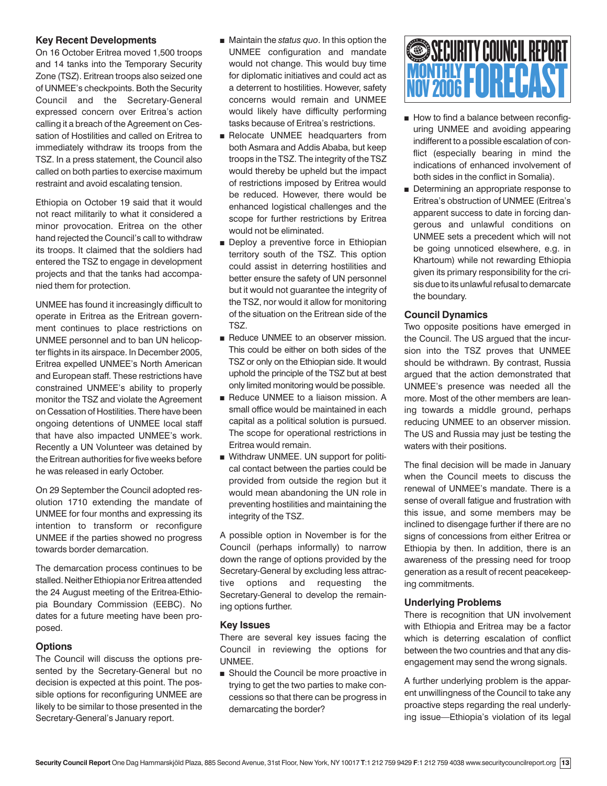# **Key Recent Developments**

On 16 October Eritrea moved 1,500 troops and 14 tanks into the Temporary Security Zone (TSZ). Eritrean troops also seized one of UNMEE's checkpoints. Both the Security Council and the Secretary-General expressed concern over Eritrea's action calling it a breach of the Agreement on Cessation of Hostilities and called on Eritrea to immediately withdraw its troops from the TSZ. In a press statement, the Council also called on both parties to exercise maximum restraint and avoid escalating tension.

Ethiopia on October 19 said that it would not react militarily to what it considered a minor provocation. Eritrea on the other hand rejected the Council's call to withdraw its troops. It claimed that the soldiers had entered the TSZ to engage in development projects and that the tanks had accompanied them for protection.

UNMEE has found it increasingly difficult to operate in Eritrea as the Eritrean government continues to place restrictions on UNMEE personnel and to ban UN helicopter flights in its airspace. In December 2005, Eritrea expelled UNMEE's North American and European staff. These restrictions have constrained UNMEE's ability to properly monitor the TSZ and violate the Agreement on Cessation of Hostilities. There have been ongoing detentions of UNMEE local staff that have also impacted UNMEE's work. Recently a UN Volunteer was detained by the Eritrean authorities for five weeks before he was released in early October.

On 29 September the Council adopted resolution 1710 extending the mandate of UNMEE for four months and expressing its intention to transform or reconfigure UNMEE if the parties showed no progress towards border demarcation.

The demarcation process continues to be stalled. Neither Ethiopia nor Eritrea attended the 24 August meeting of the Eritrea-Ethiopia Boundary Commission (EEBC). No dates for a future meeting have been proposed.

# **Options**

The Council will discuss the options presented by the Secretary-General but no decision is expected at this point. The possible options for reconfiguring UNMEE are likely to be similar to those presented in the Secretary-General's January report.

- Maintain the *status quo*. In this option the UNMEE configuration and mandate would not change. This would buy time for diplomatic initiatives and could act as a deterrent to hostilities. However, safety concerns would remain and UNMEE would likely have difficulty performing tasks because of Eritrea's restrictions.
- Relocate UNMEE headquarters from both Asmara and Addis Ababa, but keep troops in the TSZ. The integrity of the TSZ would thereby be upheld but the impact of restrictions imposed by Eritrea would be reduced. However, there would be enhanced logistical challenges and the scope for further restrictions by Eritrea would not be eliminated.
- Deploy a preventive force in Ethiopian territory south of the TSZ. This option could assist in deterring hostilities and better ensure the safety of UN personnel but it would not guarantee the integrity of the TSZ, nor would it allow for monitoring of the situation on the Eritrean side of the TSZ.
- Reduce UNMEE to an observer mission. This could be either on both sides of the TSZ or only on the Ethiopian side. It would uphold the principle of the TSZ but at best only limited monitoring would be possible.
- Reduce UNMEE to a liaison mission. A small office would be maintained in each capital as a political solution is pursued. The scope for operational restrictions in Eritrea would remain.
- Withdraw UNMEE. UN support for political contact between the parties could be provided from outside the region but it would mean abandoning the UN role in preventing hostilities and maintaining the integrity of the TSZ.

A possible option in November is for the Council (perhaps informally) to narrow down the range of options provided by the Secretary-General by excluding less attractive options and requesting the Secretary-General to develop the remaining options further.

# **Key Issues**

There are several key issues facing the Council in reviewing the options for UNMEE.

■ Should the Council be more proactive in trying to get the two parties to make concessions so that there can be progress in demarcating the border?

# MONTHLY **FORECAST** SECURITY COUNCIL REPORT NOV 2006

- How to find a balance between reconfiguring UNMEE and avoiding appearing indifferent to a possible escalation of conflict (especially bearing in mind the indications of enhanced involvement of both sides in the conflict in Somalia).
- Determining an appropriate response to Eritrea's obstruction of UNMEE (Eritrea's apparent success to date in forcing dangerous and unlawful conditions on UNMEE sets a precedent which will not be going unnoticed elsewhere, e.g. in Khartoum) while not rewarding Ethiopia given its primary responsibility for the crisis due to its unlawful refusal to demarcate the boundary.

# **Council Dynamics**

Two opposite positions have emerged in the Council. The US argued that the incursion into the TSZ proves that UNMEE should be withdrawn. By contrast, Russia argued that the action demonstrated that UNMEE's presence was needed all the more. Most of the other members are leaning towards a middle ground, perhaps reducing UNMEE to an observer mission. The US and Russia may just be testing the waters with their positions.

The final decision will be made in January when the Council meets to discuss the renewal of UNMEE's mandate. There is a sense of overall fatigue and frustration with this issue, and some members may be inclined to disengage further if there are no signs of concessions from either Eritrea or Ethiopia by then. In addition, there is an awareness of the pressing need for troop generation as a result of recent peacekeeping commitments.

# **Underlying Problems**

There is recognition that UN involvement with Ethiopia and Eritrea may be a factor which is deterring escalation of conflict between the two countries and that any disengagement may send the wrong signals.

A further underlying problem is the apparent unwillingness of the Council to take any proactive steps regarding the real underlying issue—Ethiopia's violation of its legal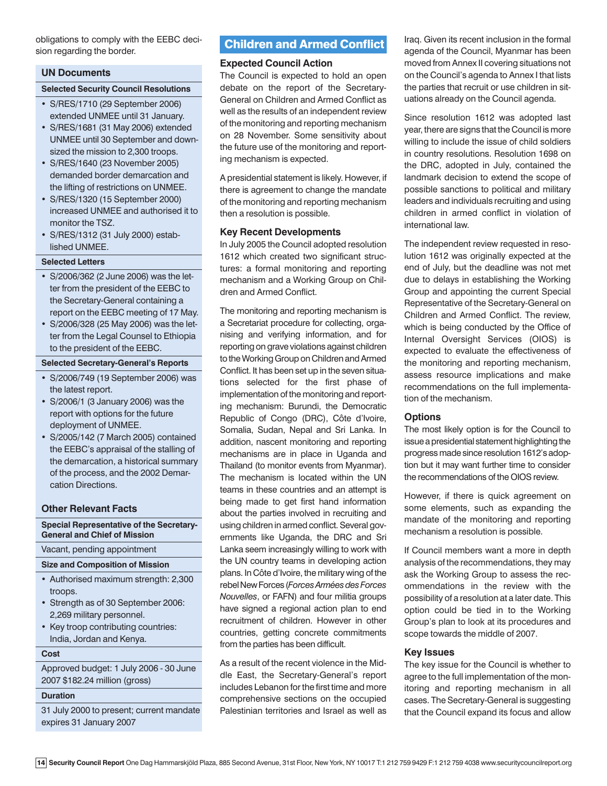obligations to comply with the EEBC decision regarding the border.

# **UN Documents**

#### **Selected Security Council Resolutions**

- S/RES/1710 (29 September 2006) extended UNMEE until 31 January.
- S/RES/1681 (31 May 2006) extended UNMEE until 30 September and downsized the mission to 2,300 troops.
- S/RES/1640 (23 November 2005) demanded border demarcation and the lifting of restrictions on UNMEE.
- S/RES/1320 (15 September 2000) increased UNMEE and authorised it to monitor the TSZ.
- S/RES/1312 (31 July 2000) established UNMEE.

# **Selected Letters**

- S/2006/362 (2 June 2006) was the letter from the president of the EEBC to the Secretary-General containing a report on the EEBC meeting of 17 May.
- S/2006/328 (25 May 2006) was the letter from the Legal Counsel to Ethiopia to the president of the EEBC.

# **Selected Secretary-General's Reports**

- S/2006/749 (19 September 2006) was the latest report.
- S/2006/1 (3 January 2006) was the report with options for the future deployment of UNMEE.
- S/2005/142 (7 March 2005) contained the EEBC's appraisal of the stalling of the demarcation, a historical summary of the process, and the 2002 Demarcation Directions.

#### **Other Relevant Facts**

# **Special Representative of the Secretary-General and Chief of Mission**

Vacant, pending appointment

#### **Size and Composition of Mission**

- Authorised maximum strength: 2,300 troops.
- Strength as of 30 September 2006: 2,269 military personnel.
- Key troop contributing countries: India, Jordan and Kenya.

#### **Cost**

Approved budget: 1 July 2006 - 30 June 2007 \$182.24 million (gross)

# **Duration**

31 July 2000 to present; current mandate expires 31 January 2007

# Children and Armed Conflict

#### **Expected Council Action**

The Council is expected to hold an open debate on the report of the Secretary-General on Children and Armed Conflict as well as the results of an independent review of the monitoring and reporting mechanism on 28 November. Some sensitivity about the future use of the monitoring and reporting mechanism is expected.

A presidential statement is likely. However, if there is agreement to change the mandate of the monitoring and reporting mechanism then a resolution is possible.

#### **Key Recent Developments**

In July 2005 the Council adopted resolution 1612 which created two significant structures: a formal monitoring and reporting mechanism and a Working Group on Children and Armed Conflict.

The monitoring and reporting mechanism is a Secretariat procedure for collecting, organising and verifying information, and for reporting on grave violations against children to the Working Group on Children and Armed Conflict. It has been set up in the seven situations selected for the first phase of implementation of the monitoring and reporting mechanism: Burundi, the Democratic Republic of Congo (DRC), Côte d'Ivoire, Somalia, Sudan, Nepal and Sri Lanka. In addition, nascent monitoring and reporting mechanisms are in place in Uganda and Thailand (to monitor events from Myanmar). The mechanism is located within the UN teams in these countries and an attempt is being made to get first hand information about the parties involved in recruiting and using children in armed conflict. Several governments like Uganda, the DRC and Sri Lanka seem increasingly willing to work with the UN country teams in developing action plans. In Côte d'Ivoire, the military wing of the rebel New Forces (*Forces Armées des Forces Nouvelles*, or FAFN) and four militia groups have signed a regional action plan to end recruitment of children. However in other countries, getting concrete commitments from the parties has been difficult.

As a result of the recent violence in the Middle East, the Secretary-General's report includes Lebanon for the first time and more comprehensive sections on the occupied Palestinian territories and Israel as well as

Iraq. Given its recent inclusion in the formal agenda of the Council, Myanmar has been moved from Annex II covering situations not on the Council's agenda to Annex I that lists the parties that recruit or use children in situations already on the Council agenda.

Since resolution 1612 was adopted last year, there are signs that the Council is more willing to include the issue of child soldiers in country resolutions. Resolution 1698 on the DRC, adopted in July, contained the landmark decision to extend the scope of possible sanctions to political and military leaders and individuals recruiting and using children in armed conflict in violation of international law.

The independent review requested in resolution 1612 was originally expected at the end of July, but the deadline was not met due to delays in establishing the Working Group and appointing the current Special Representative of the Secretary-General on Children and Armed Conflict. The review, which is being conducted by the Office of Internal Oversight Services (OIOS) is expected to evaluate the effectiveness of the monitoring and reporting mechanism, assess resource implications and make recommendations on the full implementation of the mechanism.

#### **Options**

The most likely option is for the Council to issue a presidential statement highlighting the progress made since resolution 1612's adoption but it may want further time to consider the recommendations of the OIOS review.

However, if there is quick agreement on some elements, such as expanding the mandate of the monitoring and reporting mechanism a resolution is possible.

If Council members want a more in depth analysis of the recommendations, they may ask the Working Group to assess the recommendations in the review with the possibility of a resolution at a later date. This option could be tied in to the Working Group's plan to look at its procedures and scope towards the middle of 2007.

#### **Key Issues**

The key issue for the Council is whether to agree to the full implementation of the monitoring and reporting mechanism in all cases. The Secretary-General is suggesting that the Council expand its focus and allow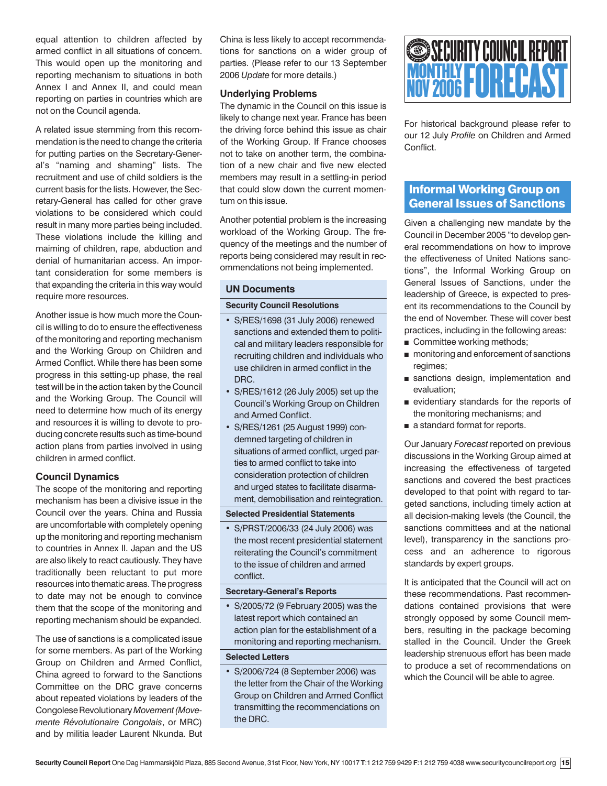equal attention to children affected by armed conflict in all situations of concern. This would open up the monitoring and reporting mechanism to situations in both Annex I and Annex II, and could mean reporting on parties in countries which are not on the Council agenda.

A related issue stemming from this recommendation is the need to change the criteria for putting parties on the Secretary-General's "naming and shaming" lists. The recruitment and use of child soldiers is the current basis for the lists. However, the Secretary-General has called for other grave violations to be considered which could result in many more parties being included. These violations include the killing and maiming of children, rape, abduction and denial of humanitarian access. An important consideration for some members is that expanding the criteria in this way would require more resources.

Another issue is how much more the Council is willing to do to ensure the effectiveness of the monitoring and reporting mechanism and the Working Group on Children and Armed Conflict. While there has been some progress in this setting-up phase, the real test will be in the action taken by the Council and the Working Group. The Council will need to determine how much of its energy and resources it is willing to devote to producing concrete results such as time-bound action plans from parties involved in using children in armed conflict.

# **Council Dynamics**

The scope of the monitoring and reporting mechanism has been a divisive issue in the Council over the years. China and Russia are uncomfortable with completely opening up the monitoring and reporting mechanism to countries in Annex II. Japan and the US are also likely to react cautiously. They have traditionally been reluctant to put more resources into thematic areas. The progress to date may not be enough to convince them that the scope of the monitoring and reporting mechanism should be expanded.

The use of sanctions is a complicated issue for some members. As part of the Working Group on Children and Armed Conflict, China agreed to forward to the Sanctions Committee on the DRC grave concerns about repeated violations by leaders of the Congolese Revolutionary *Movement (Movemente Révolutionaire Congolais*, or MRC) and by militia leader Laurent Nkunda. But

China is less likely to accept recommendations for sanctions on a wider group of parties. (Please refer to our 13 September 2006 *Update* for more details.)

# **Underlying Problems**

The dynamic in the Council on this issue is likely to change next year. France has been the driving force behind this issue as chair of the Working Group. If France chooses not to take on another term, the combination of a new chair and five new elected members may result in a settling-in period that could slow down the current momentum on this issue.

Another potential problem is the increasing workload of the Working Group. The frequency of the meetings and the number of reports being considered may result in recommendations not being implemented.

# **UN Documents**

#### **Security Council Resolutions**

- S/RES/1698 (31 July 2006) renewed sanctions and extended them to political and military leaders responsible for recruiting children and individuals who use children in armed conflict in the DRC.
- S/RES/1612 (26 July 2005) set up the Council's Working Group on Children and Armed Conflict.
- S/RES/1261 (25 August 1999) condemned targeting of children in situations of armed conflict, urged parties to armed conflict to take into consideration protection of children and urged states to facilitate disarmament, demobilisation and reintegration.

#### **Selected Presidential Statements**

• S/PRST/2006/33 (24 July 2006) was the most recent presidential statement reiterating the Council's commitment to the issue of children and armed conflict.

#### **Secretary-General's Reports**

• S/2005/72 (9 February 2005) was the latest report which contained an action plan for the establishment of a monitoring and reporting mechanism.

# **Selected Letters**

• S/2006/724 (8 September 2006) was the letter from the Chair of the Working Group on Children and Armed Conflict transmitting the recommendations on the DRC.



For historical background please refer to our 12 July *Profile* on Children and Armed **Conflict** 

# Informal Working Group on General Issues of Sanctions

Given a challenging new mandate by the Council in December 2005 "to develop general recommendations on how to improve the effectiveness of United Nations sanctions", the Informal Working Group on General Issues of Sanctions, under the leadership of Greece, is expected to present its recommendations to the Council by the end of November. These will cover best practices, including in the following areas:

- Committee working methods;
- monitoring and enforcement of sanctions regimes;
- sanctions design, implementation and evaluation;
- evidentiary standards for the reports of the monitoring mechanisms; and
- a standard format for reports.

Our January *Forecast* reported on previous discussions in the Working Group aimed at increasing the effectiveness of targeted sanctions and covered the best practices developed to that point with regard to targeted sanctions, including timely action at all decision-making levels (the Council, the sanctions committees and at the national level), transparency in the sanctions process and an adherence to rigorous standards by expert groups.

It is anticipated that the Council will act on these recommendations. Past recommendations contained provisions that were strongly opposed by some Council members, resulting in the package becoming stalled in the Council. Under the Greek leadership strenuous effort has been made to produce a set of recommendations on which the Council will be able to agree.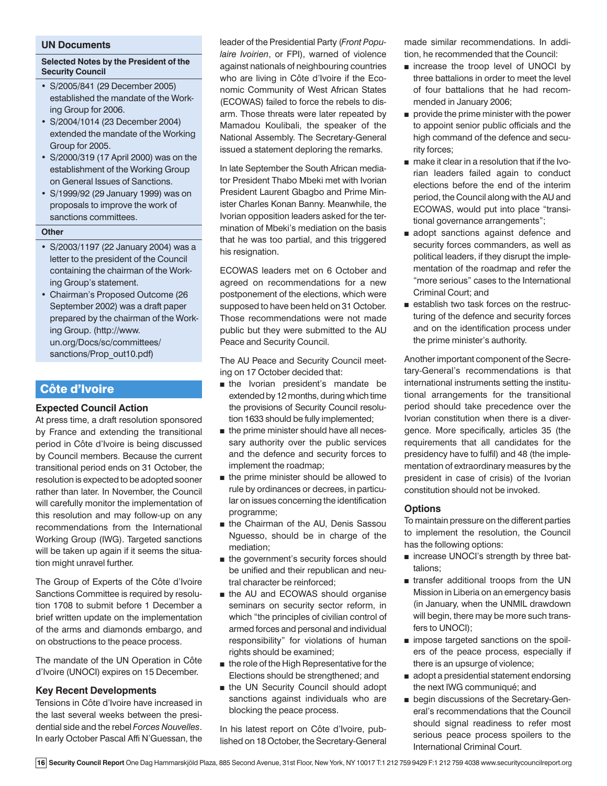#### **UN Documents**

# **Selected Notes by the President of the Security Council**

- S/2005/841 (29 December 2005) established the mandate of the Working Group for 2006.
- S/2004/1014 (23 December 2004) extended the mandate of the Working Group for 2005.
- S/2000/319 (17 April 2000) was on the establishment of the Working Group on General Issues of Sanctions.
- S/1999/92 (29 January 1999) was on proposals to improve the work of sanctions committees.

#### **Other**

- S/2003/1197 (22 January 2004) was a letter to the president of the Council containing the chairman of the Working Group's statement.
- Chairman's Proposed Outcome (26 September 2002) was a draft paper prepared by the chairman of the Working Group. (http://www. un.org/Docs/sc/committees/ sanctions/Prop\_out10.pdf)

# Côte d'Ivoire

# **Expected Council Action**

At press time, a draft resolution sponsored by France and extending the transitional period in Côte d'Ivoire is being discussed by Council members. Because the current transitional period ends on 31 October, the resolution is expected to be adopted sooner rather than later. In November, the Council will carefully monitor the implementation of this resolution and may follow-up on any recommendations from the International Working Group (IWG). Targeted sanctions will be taken up again if it seems the situation might unravel further.

The Group of Experts of the Côte d'Ivoire Sanctions Committee is required by resolution 1708 to submit before 1 December a brief written update on the implementation of the arms and diamonds embargo, and on obstructions to the peace process.

The mandate of the UN Operation in Côte d'Ivoire (UNOCI) expires on 15 December.

# **Key Recent Developments**

Tensions in Côte d'Ivoire have increased in the last several weeks between the presidential side and the rebel *Forces Nouvelles*. In early October Pascal Affi N'Guessan, the

leader of the Presidential Party (*Front Populaire Ivoirien*, or FPI), warned of violence against nationals of neighbouring countries who are living in Côte d'Ivoire if the Economic Community of West African States (ECOWAS) failed to force the rebels to disarm. Those threats were later repeated by Mamadou Koulibali, the speaker of the National Assembly. The Secretary-General issued a statement deploring the remarks.

In late September the South African mediator President Thabo Mbeki met with Ivorian President Laurent Gbagbo and Prime Minister Charles Konan Banny. Meanwhile, the Ivorian opposition leaders asked for the termination of Mbeki's mediation on the basis that he was too partial, and this triggered his resignation.

ECOWAS leaders met on 6 October and agreed on recommendations for a new postponement of the elections, which were supposed to have been held on 31 October. Those recommendations were not made public but they were submitted to the AU Peace and Security Council.

The AU Peace and Security Council meeting on 17 October decided that:

- the Ivorian president's mandate be extended by 12 months, during which time the provisions of Security Council resolution 1633 should be fully implemented;
- the prime minister should have all necessary authority over the public services and the defence and security forces to implement the roadmap;
- the prime minister should be allowed to rule by ordinances or decrees, in particular on issues concerning the identification programme;
- the Chairman of the AU, Denis Sassou Nguesso, should be in charge of the mediation;
- the government's security forces should be unified and their republican and neutral character be reinforced;
- the AU and ECOWAS should organise seminars on security sector reform, in which "the principles of civilian control of armed forces and personal and individual responsibility" for violations of human rights should be examined;
- the role of the High Representative for the Elections should be strengthened; and
- the UN Security Council should adopt sanctions against individuals who are blocking the peace process.

In his latest report on Côte d'Ivoire, published on 18 October, the Secretary-General made similar recommendations. In addition, he recommended that the Council:

- increase the troop level of UNOCI by three battalions in order to meet the level of four battalions that he had recommended in January 2006;
- provide the prime minister with the power to appoint senior public officials and the high command of the defence and security forces;
- make it clear in a resolution that if the Ivorian leaders failed again to conduct elections before the end of the interim period, the Council along with the AU and ECOWAS, would put into place "transitional governance arrangements";
- adopt sanctions against defence and security forces commanders, as well as political leaders, if they disrupt the implementation of the roadmap and refer the "more serious" cases to the International Criminal Court; and
- establish two task forces on the restructuring of the defence and security forces and on the identification process under the prime minister's authority.

Another important component of the Secretary-General's recommendations is that international instruments setting the institutional arrangements for the transitional period should take precedence over the Ivorian constitution when there is a divergence. More specifically, articles 35 (the requirements that all candidates for the presidency have to fulfil) and 48 (the implementation of extraordinary measures by the president in case of crisis) of the Ivorian constitution should not be invoked.

# **Options**

To maintain pressure on the different parties to implement the resolution, the Council has the following options:

- increase UNOCI's strength by three battalions;
- transfer additional troops from the UN Mission in Liberia on an emergency basis (in January, when the UNMIL drawdown will begin, there may be more such transfers to UNOCI);
- impose targeted sanctions on the spoilers of the peace process, especially if there is an upsurge of violence;
- adopt a presidential statement endorsing the next IWG communiqué; and
- begin discussions of the Secretary-General's recommendations that the Council should signal readiness to refer most serious peace process spoilers to the International Criminal Court.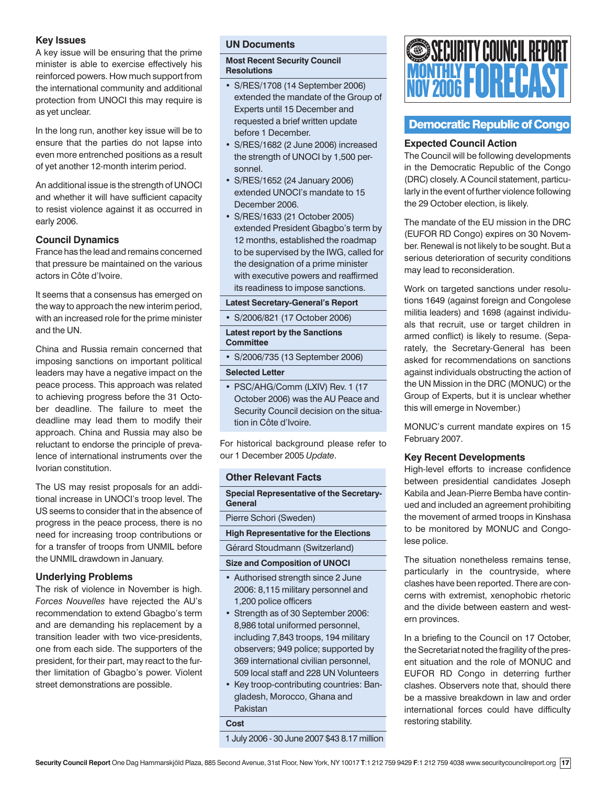# **Key Issues**

A key issue will be ensuring that the prime minister is able to exercise effectively his reinforced powers. How much support from the international community and additional protection from UNOCI this may require is as yet unclear.

In the long run, another key issue will be to ensure that the parties do not lapse into even more entrenched positions as a result of yet another 12-month interim period.

An additional issue is the strength of UNOCI and whether it will have sufficient capacity to resist violence against it as occurred in early 2006.

# **Council Dynamics**

France has the lead and remains concerned that pressure be maintained on the various actors in Côte d'Ivoire.

It seems that a consensus has emerged on the way to approach the new interim period, with an increased role for the prime minister and the UN.

China and Russia remain concerned that imposing sanctions on important political leaders may have a negative impact on the peace process. This approach was related to achieving progress before the 31 October deadline. The failure to meet the deadline may lead them to modify their approach. China and Russia may also be reluctant to endorse the principle of prevalence of international instruments over the Ivorian constitution.

The US may resist proposals for an additional increase in UNOCI's troop level. The US seems to consider that in the absence of progress in the peace process, there is no need for increasing troop contributions or for a transfer of troops from UNMIL before the UNMIL drawdown in January.

# **Underlying Problems**

The risk of violence in November is high. *Forces Nouvelles* have rejected the AU's recommendation to extend Gbagbo's term and are demanding his replacement by a transition leader with two vice-presidents, one from each side. The supporters of the president, for their part, may react to the further limitation of Gbagbo's power. Violent street demonstrations are possible.

# **UN Documents**

# **Most Recent Security Council Resolutions**

- S/RES/1708 (14 September 2006) extended the mandate of the Group of Experts until 15 December and requested a brief written update before 1 December.
- S/RES/1682 (2 June 2006) increased the strength of UNOCI by 1,500 personnel.
- S/RES/1652 (24 January 2006) extended UNOCI's mandate to 15 December 2006.
- S/RES/1633 (21 October 2005) extended President Gbagbo's term by 12 months, established the roadmap to be supervised by the IWG, called for the designation of a prime minister with executive powers and reaffirmed its readiness to impose sanctions.

# **Latest Secretary-General's Report**

• S/2006/821 (17 October 2006)

**Latest report by the Sanctions Committee**

• S/2006/735 (13 September 2006)

# **Selected Letter**

• PSC/AHG/Comm (LXIV) Rev. 1 (17 October 2006) was the AU Peace and Security Council decision on the situation in Côte d'Ivoire.

For historical background please refer to our 1 December 2005 *Update*.

# **Other Relevant Facts**

**Special Representative of the Secretary-General**

Pierre Schori (Sweden)

**High Representative for the Elections**

# Gérard Stoudmann (Switzerland)

# **Size and Composition of UNOCI**

- Authorised strength since 2 June 2006: 8,115 military personnel and 1,200 police officers
- Strength as of 30 September 2006: 8,986 total uniformed personnel, including 7,843 troops, 194 military observers; 949 police; supported by 369 international civilian personnel, 509 local staff and 228 UN Volunteers
- Key troop-contributing countries: Bangladesh, Morocco, Ghana and Pakistan

**Cost**

1 July 2006 - 30 June 2007 \$43 8.17 million



# Democratic Republic of Congo

# **Expected Council Action**

The Council will be following developments in the Democratic Republic of the Congo (DRC) closely. A Council statement, particularly in the event of further violence following the 29 October election, is likely.

The mandate of the EU mission in the DRC (EUFOR RD Congo) expires on 30 November. Renewal is not likely to be sought. But a serious deterioration of security conditions may lead to reconsideration.

Work on targeted sanctions under resolutions 1649 (against foreign and Congolese militia leaders) and 1698 (against individuals that recruit, use or target children in armed conflict) is likely to resume. (Separately, the Secretary-General has been asked for recommendations on sanctions against individuals obstructing the action of the UN Mission in the DRC (MONUC) or the Group of Experts, but it is unclear whether this will emerge in November.)

MONUC's current mandate expires on 15 February 2007.

# **Key Recent Developments**

High-level efforts to increase confidence between presidential candidates Joseph Kabila and Jean-Pierre Bemba have continued and included an agreement prohibiting the movement of armed troops in Kinshasa to be monitored by MONUC and Congolese police.

The situation nonetheless remains tense, particularly in the countryside, where clashes have been reported. There are concerns with extremist, xenophobic rhetoric and the divide between eastern and western provinces.

In a briefing to the Council on 17 October, the Secretariat noted the fragility of the present situation and the role of MONUC and EUFOR RD Congo in deterring further clashes. Observers note that, should there be a massive breakdown in law and order international forces could have difficulty restoring stability.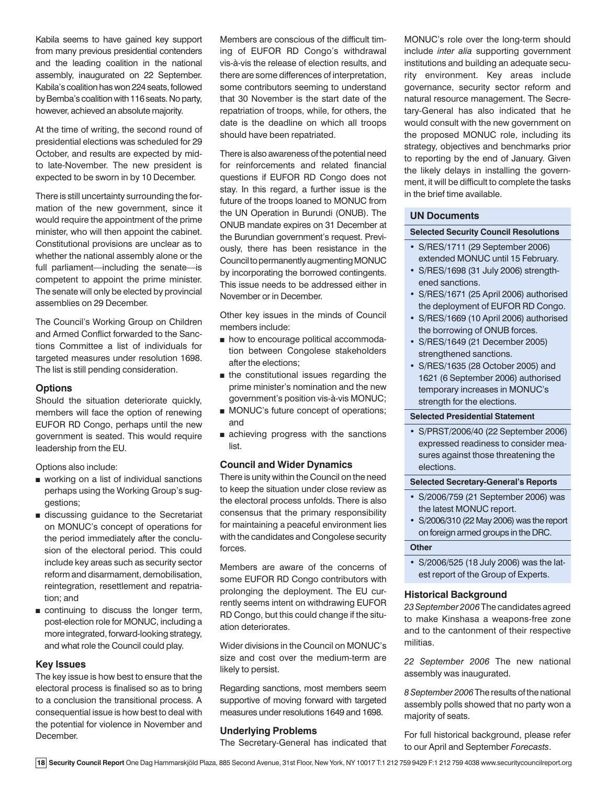Kabila seems to have gained key support from many previous presidential contenders and the leading coalition in the national assembly, inaugurated on 22 September. Kabila's coalition has won 224 seats, followed by Bemba's coalition with 116 seats. No party, however, achieved an absolute majority.

At the time of writing, the second round of presidential elections was scheduled for 29 October, and results are expected by midto late-November. The new president is expected to be sworn in by 10 December.

There is still uncertainty surrounding the formation of the new government, since it would require the appointment of the prime minister, who will then appoint the cabinet. Constitutional provisions are unclear as to whether the national assembly alone or the full parliament—including the senate—is competent to appoint the prime minister. The senate will only be elected by provincial assemblies on 29 December.

The Council's Working Group on Children and Armed Conflict forwarded to the Sanctions Committee a list of individuals for targeted measures under resolution 1698. The list is still pending consideration.

# **Options**

Should the situation deteriorate quickly, members will face the option of renewing EUFOR RD Congo, perhaps until the new government is seated. This would require leadership from the EU.

Options also include:

- working on a list of individual sanctions perhaps using the Working Group's suggestions;
- discussing guidance to the Secretariat on MONUC's concept of operations for the period immediately after the conclusion of the electoral period. This could include key areas such as security sector reform and disarmament, demobilisation, reintegration, resettlement and repatriation; and
- continuing to discuss the longer term, post-election role for MONUC, including a more integrated, forward-looking strategy, and what role the Council could play.

#### **Key Issues**

The key issue is how best to ensure that the electoral process is finalised so as to bring to a conclusion the transitional process. A consequential issue is how best to deal with the potential for violence in November and December.

Members are conscious of the difficult timing of EUFOR RD Congo's withdrawal vis-à-vis the release of election results, and there are some differences of interpretation, some contributors seeming to understand that 30 November is the start date of the repatriation of troops, while, for others, the date is the deadline on which all troops should have been repatriated.

There is also awareness of the potential need for reinforcements and related financial questions if EUFOR RD Congo does not stay. In this regard, a further issue is the future of the troops loaned to MONUC from the UN Operation in Burundi (ONUB). The ONUB mandate expires on 31 December at the Burundian government's request. Previously, there has been resistance in the Council to permanently augmenting MONUC by incorporating the borrowed contingents. This issue needs to be addressed either in November or in December.

Other key issues in the minds of Council members include:

- how to encourage political accommodation between Congolese stakeholders after the elections;
- the constitutional issues regarding the prime minister's nomination and the new government's position vis-à-vis MONUC;
- MONUC's future concept of operations; and
- achieving progress with the sanctions list.

# **Council and Wider Dynamics**

There is unity within the Council on the need to keep the situation under close review as the electoral process unfolds. There is also consensus that the primary responsibility for maintaining a peaceful environment lies with the candidates and Congolese security forces.

Members are aware of the concerns of some EUFOR RD Congo contributors with prolonging the deployment. The EU currently seems intent on withdrawing EUFOR RD Congo, but this could change if the situation deteriorates.

Wider divisions in the Council on MONUC's size and cost over the medium-term are likely to persist.

Regarding sanctions, most members seem supportive of moving forward with targeted measures under resolutions 1649 and 1698.

# **Underlying Problems**

The Secretary-General has indicated that

MONUC's role over the long-term should include *inter alia* supporting government institutions and building an adequate security environment. Key areas include governance, security sector reform and natural resource management. The Secretary-General has also indicated that he would consult with the new government on the proposed MONUC role, including its strategy, objectives and benchmarks prior to reporting by the end of January. Given the likely delays in installing the government, it will be difficult to complete the tasks in the brief time available.

#### **UN Documents**

# **Selected Security Council Resolutions**

- S/RES/1711 (29 September 2006) extended MONUC until 15 February.
- S/RES/1698 (31 July 2006) strengthened sanctions.
- S/RES/1671 (25 April 2006) authorised the deployment of EUFOR RD Congo.
- S/RES/1669 (10 April 2006) authorised the borrowing of ONUB forces.
- S/RES/1649 (21 December 2005) strengthened sanctions.
- S/RES/1635 (28 October 2005) and 1621 (6 September 2006) authorised temporary increases in MONUC's strength for the elections.

#### **Selected Presidential Statement**

• S/PRST/2006/40 (22 September 2006) expressed readiness to consider measures against those threatening the elections.

#### **Selected Secretary-General's Reports**

- S/2006/759 (21 September 2006) was the latest MONUC report.
- S/2006/310 (22 May 2006) was the report on foreign armed groups in the DRC.

# **Other**

• S/2006/525 (18 July 2006) was the latest report of the Group of Experts.

# **Historical Background**

*23 September 2006* The candidates agreed to make Kinshasa a weapons-free zone and to the cantonment of their respective militias.

*22 September 2006* The new national assembly was inaugurated.

*8 September 2006* The results of the national assembly polls showed that no party won a majority of seats.

For full historical background, please refer to our April and September *Forecasts*.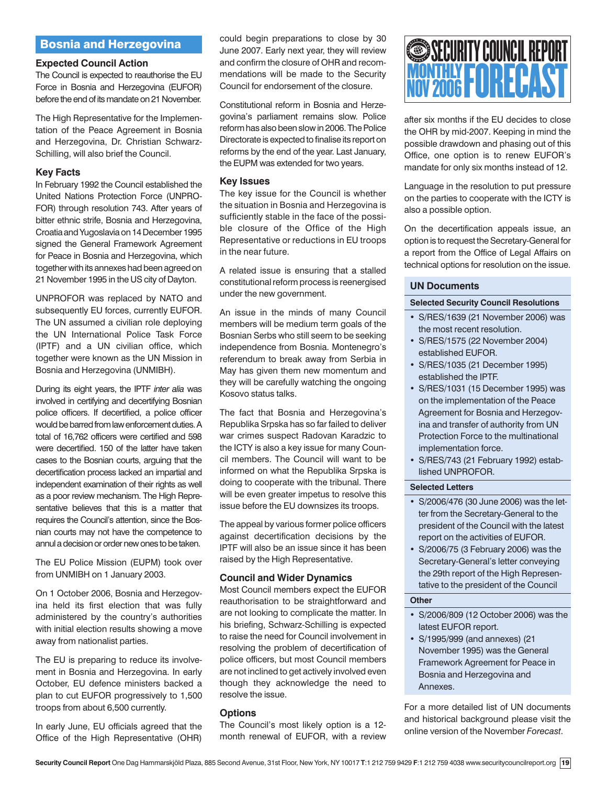# Bosnia and Herzegovina

# **Expected Council Action**

The Council is expected to reauthorise the EU Force in Bosnia and Herzegovina (EUFOR) before the end of its mandate on 21 November.

The High Representative for the Implementation of the Peace Agreement in Bosnia and Herzegovina, Dr. Christian Schwarz-Schilling, will also brief the Council.

# **Key Facts**

In February 1992 the Council established the United Nations Protection Force (UNPRO-FOR) through resolution 743. After years of bitter ethnic strife, Bosnia and Herzegovina, Croatia and Yugoslavia on 14 December 1995 signed the General Framework Agreement for Peace in Bosnia and Herzegovina, which together with its annexes had been agreed on 21 November 1995 in the US city of Dayton.

UNPROFOR was replaced by NATO and subsequently EU forces, currently EUFOR. The UN assumed a civilian role deploying the UN International Police Task Force (IPTF) and a UN civilian office, which together were known as the UN Mission in Bosnia and Herzegovina (UNMIBH).

During its eight years, the IPTF *inter alia* was involved in certifying and decertifying Bosnian police officers. If decertified, a police officer would be barred from law enforcement duties. A total of 16,762 officers were certified and 598 were decertified. 150 of the latter have taken cases to the Bosnian courts, arguing that the decertification process lacked an impartial and independent examination of their rights as well as a poor review mechanism. The High Representative believes that this is a matter that requires the Council's attention, since the Bosnian courts may not have the competence to annul a decision or order new ones to be taken.

The EU Police Mission (EUPM) took over from UNMIBH on 1 January 2003.

On 1 October 2006, Bosnia and Herzegovina held its first election that was fully administered by the country's authorities with initial election results showing a move away from nationalist parties.

The EU is preparing to reduce its involvement in Bosnia and Herzegovina. In early October, EU defence ministers backed a plan to cut EUFOR progressively to 1,500 troops from about 6,500 currently.

In early June, EU officials agreed that the Office of the High Representative (OHR)

could begin preparations to close by 30 June 2007. Early next year, they will review and confirm the closure of OHR and recommendations will be made to the Security Council for endorsement of the closure.

Constitutional reform in Bosnia and Herzegovina's parliament remains slow. Police reform has also been slow in 2006. The Police Directorate is expected to finalise its report on reforms by the end of the year. Last January, the EUPM was extended for two years.

#### **Key Issues**

The key issue for the Council is whether the situation in Bosnia and Herzegovina is sufficiently stable in the face of the possible closure of the Office of the High Representative or reductions in EU troops in the near future.

A related issue is ensuring that a stalled constitutional reform process is reenergised under the new government.

An issue in the minds of many Council members will be medium term goals of the Bosnian Serbs who still seem to be seeking independence from Bosnia. Montenegro's referendum to break away from Serbia in May has given them new momentum and they will be carefully watching the ongoing Kosovo status talks.

The fact that Bosnia and Herzegovina's Republika Srpska has so far failed to deliver war crimes suspect Radovan Karadzic to the ICTY is also a key issue for many Council members. The Council will want to be informed on what the Republika Srpska is doing to cooperate with the tribunal. There will be even greater impetus to resolve this issue before the EU downsizes its troops.

The appeal by various former police officers against decertification decisions by the IPTF will also be an issue since it has been raised by the High Representative.

#### **Council and Wider Dynamics**

Most Council members expect the EUFOR reauthorisation to be straightforward and are not looking to complicate the matter. In his briefing, Schwarz-Schilling is expected to raise the need for Council involvement in resolving the problem of decertification of police officers, but most Council members are not inclined to get actively involved even though they acknowledge the need to resolve the issue.

#### **Options**

The Council's most likely option is a 12 month renewal of EUFOR, with a review



after six months if the EU decides to close the OHR by mid-2007. Keeping in mind the possible drawdown and phasing out of this Office, one option is to renew EUFOR's mandate for only six months instead of 12.

Language in the resolution to put pressure on the parties to cooperate with the ICTY is also a possible option.

On the decertification appeals issue, an option is to request the Secretary-General for a report from the Office of Legal Affairs on technical options for resolution on the issue.

# **UN Documents**

#### **Selected Security Council Resolutions**

- S/RES/1639 (21 November 2006) was the most recent resolution.
- S/RES/1575 (22 November 2004) established EUFOR.
- S/RES/1035 (21 December 1995) established the IPTF.
- S/RES/1031 (15 December 1995) was on the implementation of the Peace Agreement for Bosnia and Herzegovina and transfer of authority from UN Protection Force to the multinational implementation force.
- S/RES/743 (21 February 1992) established UNPROFOR.

# **Selected Letters**

- S/2006/476 (30 June 2006) was the letter from the Secretary-General to the president of the Council with the latest report on the activities of EUFOR.
- S/2006/75 (3 February 2006) was the Secretary-General's letter conveying the 29th report of the High Representative to the president of the Council

# **Other**

- S/2006/809 (12 October 2006) was the latest EUFOR report.
- S/1995/999 (and annexes) (21 November 1995) was the General Framework Agreement for Peace in Bosnia and Herzegovina and Annexes.

For a more detailed list of UN documents and historical background please visit the online version of the November *Forecast*.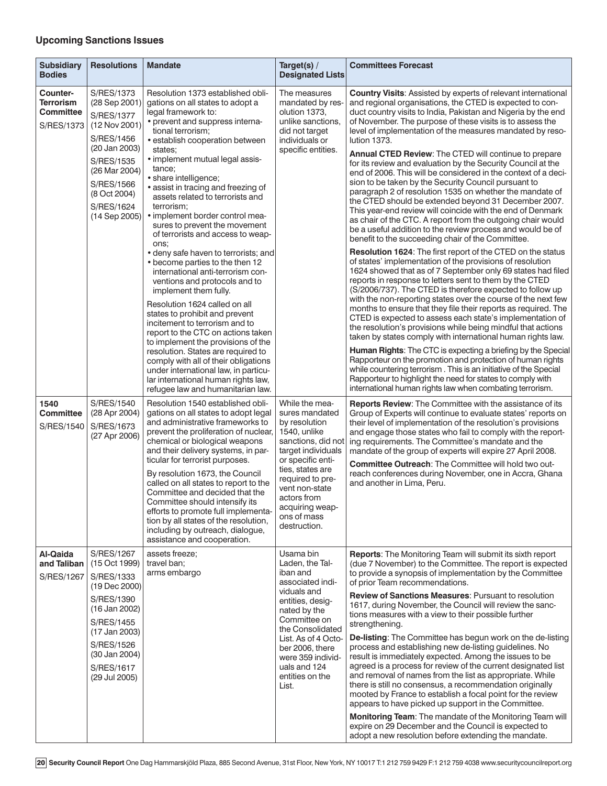# **Upcoming Sanctions Issues**

| <b>Subsidiary</b><br><b>Bodies</b>                             | <b>Resolutions</b>                                                                                                                                                                                         | <b>Mandate</b>                                                                                                                                                                                                                                                                                                                                                                                                                                                                                                                                                                                                                          | Target(s) /<br><b>Designated Lists</b>                                                                                                                                                                                                                         | <b>Committees Forecast</b>                                                                                                                                                                                                                                                                                                                                                                                                                                                                                                                                                                                                                                                                                                                                                                                                                                                                                                                                                                                                                                                                                                                                          |
|----------------------------------------------------------------|------------------------------------------------------------------------------------------------------------------------------------------------------------------------------------------------------------|-----------------------------------------------------------------------------------------------------------------------------------------------------------------------------------------------------------------------------------------------------------------------------------------------------------------------------------------------------------------------------------------------------------------------------------------------------------------------------------------------------------------------------------------------------------------------------------------------------------------------------------------|----------------------------------------------------------------------------------------------------------------------------------------------------------------------------------------------------------------------------------------------------------------|---------------------------------------------------------------------------------------------------------------------------------------------------------------------------------------------------------------------------------------------------------------------------------------------------------------------------------------------------------------------------------------------------------------------------------------------------------------------------------------------------------------------------------------------------------------------------------------------------------------------------------------------------------------------------------------------------------------------------------------------------------------------------------------------------------------------------------------------------------------------------------------------------------------------------------------------------------------------------------------------------------------------------------------------------------------------------------------------------------------------------------------------------------------------|
| Counter-<br>Terrorism<br><b>Committee</b><br><b>S/RES/1373</b> | <b>S/RES/1373</b><br>(28 Sep 2001)<br><b>S/RES/1377</b><br>(12 Nov 2001)<br>S/RES/1456<br>(20 Jan 2003)<br><b>S/RES/1535</b><br>(26 Mar 2004)<br>S/RES/1566<br>(8 Oct 2004)<br>S/RES/1624<br>(14 Sep 2005) | Resolution 1373 established obli-<br>gations on all states to adopt a<br>legal framework to:<br>• prevent and suppress interna-<br>tional terrorism:<br>• establish cooperation between<br>states:<br>• implement mutual legal assis-<br>tance;<br>· share intelligence;<br>• assist in tracing and freezing of<br>assets related to terrorists and<br>terrorism;                                                                                                                                                                                                                                                                       | The measures<br>mandated by res-<br>olution 1373,<br>unlike sanctions,<br>did not target<br>individuals or<br>specific entities.<br>• implement border control mea-                                                                                            | <b>Country Visits: Assisted by experts of relevant international</b><br>and regional organisations, the CTED is expected to con-<br>duct country visits to India, Pakistan and Nigeria by the end<br>of November. The purpose of these visits is to assess the<br>level of implementation of the measures mandated by reso-<br>lution 1373.<br>Annual CTED Review: The CTED will continue to prepare<br>for its review and evaluation by the Security Council at the<br>end of 2006. This will be considered in the context of a deci-<br>sion to be taken by the Security Council pursuant to<br>paragraph 2 of resolution 1535 on whether the mandate of<br>the CTED should be extended beyond 31 December 2007.<br>This year-end review will coincide with the end of Denmark                                                                                                                                                                                                                                                                                                                                                                                    |
|                                                                |                                                                                                                                                                                                            | sures to prevent the movement<br>of terrorists and access to weap-<br>ons:<br>· deny safe haven to terrorists; and<br>• become parties to the then 12<br>international anti-terrorism con-<br>ventions and protocols and to<br>implement them fully.<br>Resolution 1624 called on all<br>states to prohibit and prevent<br>incitement to terrorism and to<br>report to the CTC on actions taken<br>to implement the provisions of the<br>resolution. States are required to<br>comply with all of their obligations<br>under international law, in particu-<br>lar international human rights law,<br>refugee law and humanitarian law. |                                                                                                                                                                                                                                                                | as chair of the CTC. A report from the outgoing chair would<br>be a useful addition to the review process and would be of<br>benefit to the succeeding chair of the Committee.<br><b>Resolution 1624:</b> The first report of the CTED on the status<br>of states' implementation of the provisions of resolution<br>1624 showed that as of 7 September only 69 states had filed<br>reports in response to letters sent to them by the CTED<br>(S/2006/737). The CTED is therefore expected to follow up<br>with the non-reporting states over the course of the next few<br>months to ensure that they file their reports as required. The<br>CTED is expected to assess each state's implementation of<br>the resolution's provisions while being mindful that actions<br>taken by states comply with international human rights law.<br>Human Rights: The CTC is expecting a briefing by the Special<br>Rapporteur on the promotion and protection of human rights<br>while countering terrorism. This is an initiative of the Special<br>Rapporteur to highlight the need for states to comply with<br>international human rights law when combating terrorism. |
| 1540<br><b>Committee</b><br>S/RES/1540                         | S/RES/1540<br>(28 Apr 2004)<br>S/RES/1673<br>(27 Apr 2006)                                                                                                                                                 | Resolution 1540 established obli-<br>gations on all states to adopt legal<br>and administrative frameworks to<br>prevent the proliferation of nuclear,<br>chemical or biological weapons<br>and their delivery systems, in par-<br>ticular for terrorist purposes.<br>By resolution 1673, the Council<br>called on all states to report to the<br>Committee and decided that the<br>Committee should intensify its<br>efforts to promote full implementa-<br>tion by all states of the resolution,<br>including by outreach, dialogue,<br>assistance and cooperation.                                                                   | While the mea-<br>sures mandated<br>by resolution<br>1540, unlike<br>sanctions, did not<br>target individuals<br>or specific enti-<br>ties, states are<br>required to pre-<br>vent non-state<br>actors from<br>acquiring weap-<br>ons of mass<br>destruction.  | <b>Reports Review:</b> The Committee with the assistance of its<br>Group of Experts will continue to evaluate states' reports on<br>their level of implementation of the resolution's provisions<br>and engage those states who fail to comply with the report-<br>ing requirements. The Committee's mandate and the<br>mandate of the group of experts will expire 27 April 2008.<br><b>Committee Outreach: The Committee will hold two out-</b><br>reach conferences during November, one in Accra, Ghana<br>and another in Lima, Peru.                                                                                                                                                                                                                                                                                                                                                                                                                                                                                                                                                                                                                           |
| Al-Qaida<br>and Taliban<br>S/RES/1267                          | <b>S/RES/1267</b><br>(15 Oct 1999)<br>S/RES/1333<br>(19 Dec 2000)<br>S/RES/1390<br>(16 Jan 2002)<br>S/RES/1455<br>(17 Jan 2003)<br>S/RES/1526<br>(30 Jan 2004)<br>S/RES/1617<br>(29 Jul 2005)              | assets freeze:<br>travel ban;<br>arms embargo                                                                                                                                                                                                                                                                                                                                                                                                                                                                                                                                                                                           | Usama bin<br>Laden, the Tal-<br>iban and<br>associated indi-<br>viduals and<br>entities, desig-<br>nated by the<br>Committee on<br>the Consolidated<br>List. As of 4 Octo-<br>ber 2006, there<br>were 359 individ-<br>uals and 124<br>entities on the<br>List. | <b>Reports:</b> The Monitoring Team will submit its sixth report<br>(due 7 November) to the Committee. The report is expected<br>to provide a synopsis of implementation by the Committee<br>of prior Team recommendations.<br><b>Review of Sanctions Measures: Pursuant to resolution</b><br>1617, during November, the Council will review the sanc-<br>tions measures with a view to their possible further<br>strengthening.<br><b>De-listing:</b> The Committee has begun work on the de-listing<br>process and establishing new de-listing guidelines. No<br>result is immediately expected. Among the issues to be<br>agreed is a process for review of the current designated list<br>and removal of names from the list as appropriate. While<br>there is still no consensus, a recommendation originally<br>mooted by France to establish a focal point for the review<br>appears to have picked up support in the Committee.<br>Monitoring Team: The mandate of the Monitoring Team will<br>expire on 29 December and the Council is expected to<br>adopt a new resolution before extending the mandate.                                                 |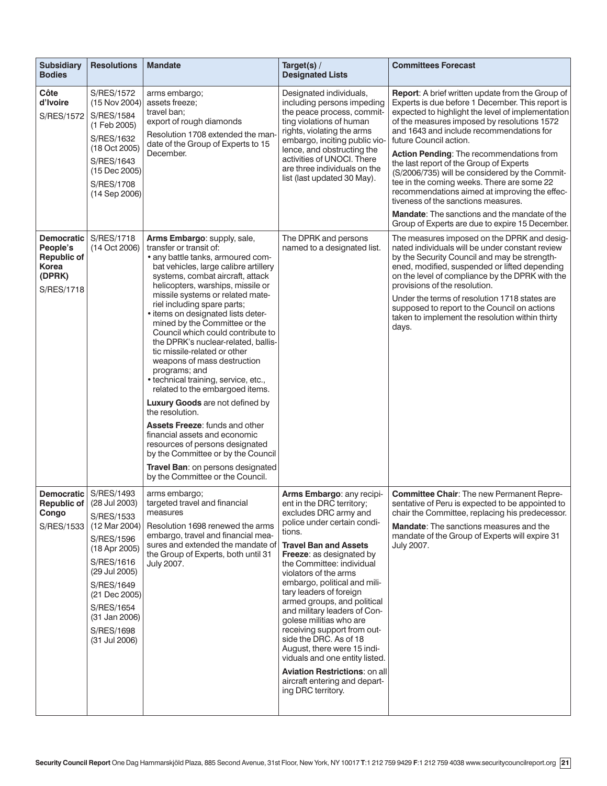| <b>Subsidiary</b><br><b>Bodies</b>                                                   | <b>Resolutions</b>                                                                                                                                                                                                                                             | <b>Mandate</b>                                                                                                                                                                                                                                                                                                                                                                                                                                                                                                                                                                                                                                                                                                                                                                                                                                                                   | Target(s) /<br><b>Designated Lists</b>                                                                                                                                                                                                                                                                                                                                                                                                                                                                                                                                                                                   | <b>Committees Forecast</b>                                                                                                                                                                                                                                                                                                                                                                                                                                                                                                                                                                                            |
|--------------------------------------------------------------------------------------|----------------------------------------------------------------------------------------------------------------------------------------------------------------------------------------------------------------------------------------------------------------|----------------------------------------------------------------------------------------------------------------------------------------------------------------------------------------------------------------------------------------------------------------------------------------------------------------------------------------------------------------------------------------------------------------------------------------------------------------------------------------------------------------------------------------------------------------------------------------------------------------------------------------------------------------------------------------------------------------------------------------------------------------------------------------------------------------------------------------------------------------------------------|--------------------------------------------------------------------------------------------------------------------------------------------------------------------------------------------------------------------------------------------------------------------------------------------------------------------------------------------------------------------------------------------------------------------------------------------------------------------------------------------------------------------------------------------------------------------------------------------------------------------------|-----------------------------------------------------------------------------------------------------------------------------------------------------------------------------------------------------------------------------------------------------------------------------------------------------------------------------------------------------------------------------------------------------------------------------------------------------------------------------------------------------------------------------------------------------------------------------------------------------------------------|
| Côte<br>d'Ivoire<br>S/RES/1572                                                       | <b>S/RES/1572</b><br>(15 Nov 2004)<br><b>S/RES/1584</b><br>(1 Feb 2005)<br>S/RES/1632<br>(18 Oct 2005)<br>S/RES/1643<br>(15 Dec 2005)<br><b>S/RES/1708</b><br>(14 Sep 2006)                                                                                    | arms embargo;<br>assets freeze:<br>travel ban;<br>export of rough diamonds<br>Resolution 1708 extended the man-<br>date of the Group of Experts to 15<br>December.                                                                                                                                                                                                                                                                                                                                                                                                                                                                                                                                                                                                                                                                                                               | Designated individuals,<br>including persons impeding<br>the peace process, commit-<br>ting violations of human<br>rights, violating the arms<br>embargo, inciting public vio-<br>lence, and obstructing the<br>activities of UNOCI. There<br>are three individuals on the<br>list (last updated 30 May).                                                                                                                                                                                                                                                                                                                | Report: A brief written update from the Group of<br>Experts is due before 1 December. This report is<br>expected to highlight the level of implementation<br>of the measures imposed by resolutions 1572<br>and 1643 and include recommendations for<br>future Council action.<br>Action Pending: The recommendations from<br>the last report of the Group of Experts<br>(S/2006/735) will be considered by the Commit-<br>tee in the coming weeks. There are some 22<br>recommendations aimed at improving the effec-<br>tiveness of the sanctions measures.<br><b>Mandate:</b> The sanctions and the mandate of the |
| <b>Democratic</b><br>People's<br><b>Republic of</b><br>Korea<br>(DPRK)<br>S/RES/1718 | S/RES/1718<br>(14 Oct 2006)                                                                                                                                                                                                                                    | Arms Embargo: supply, sale,<br>transfer or transit of:<br>• any battle tanks, armoured com-<br>bat vehicles, large calibre artillery<br>systems, combat aircraft, attack<br>helicopters, warships, missile or<br>missile systems or related mate-<br>riel including spare parts;<br>• items on designated lists deter-<br>mined by the Committee or the<br>Council which could contribute to<br>the DPRK's nuclear-related, ballis-<br>tic missile-related or other<br>weapons of mass destruction<br>programs; and<br>· technical training, service, etc.,<br>related to the embargoed items.<br><b>Luxury Goods</b> are not defined by<br>the resolution.<br>Assets Freeze: funds and other<br>financial assets and economic<br>resources of persons designated<br>by the Committee or by the Council<br>Travel Ban: on persons designated<br>by the Committee or the Council. | The DPRK and persons<br>named to a designated list.                                                                                                                                                                                                                                                                                                                                                                                                                                                                                                                                                                      | Group of Experts are due to expire 15 December.<br>The measures imposed on the DPRK and desig-<br>nated individuals will be under constant review<br>by the Security Council and may be strength-<br>ened, modified, suspended or lifted depending<br>on the level of compliance by the DPRK with the<br>provisions of the resolution.<br>Under the terms of resolution 1718 states are<br>supposed to report to the Council on actions<br>taken to implement the resolution within thirty<br>days.                                                                                                                   |
| Congo<br>S/RES/1533                                                                  | Democratic   S/RES/1493<br><b>Republic of</b> $(28$ Jul 2003)<br>S/RES/1533<br>(12 Mar 2004)<br><b>S/RES/1596</b><br>(18 Apr 2005)<br>S/RES/1616<br>(29 Jul 2005)<br>S/RES/1649<br>(21 Dec 2005)<br>S/RES/1654<br>(31 Jan 2006)<br>S/RES/1698<br>(31 Jul 2006) | arms embargo;<br>targeted travel and financial<br>measures<br>Resolution 1698 renewed the arms<br>embargo, travel and financial mea-<br>sures and extended the mandate of<br>the Group of Experts, both until 31<br>July 2007.                                                                                                                                                                                                                                                                                                                                                                                                                                                                                                                                                                                                                                                   | Arms Embargo: any recipi-<br>ent in the DRC territory;<br>excludes DRC army and<br>police under certain condi-<br>tions.<br><b>Travel Ban and Assets</b><br><b>Freeze:</b> as designated by<br>the Committee: individual<br>violators of the arms<br>embargo, political and mili-<br>tary leaders of foreign<br>armed groups, and political<br>and military leaders of Con-<br>golese militias who are<br>receiving support from out-<br>side the DRC. As of 18<br>August, there were 15 indi-<br>viduals and one entity listed.<br>Aviation Restrictions: on all<br>aircraft entering and depart-<br>ing DRC territory. | Committee Chair: The new Permanent Repre-<br>sentative of Peru is expected to be appointed to<br>chair the Committee, replacing his predecessor.<br>Mandate: The sanctions measures and the<br>mandate of the Group of Experts will expire 31<br>July 2007.                                                                                                                                                                                                                                                                                                                                                           |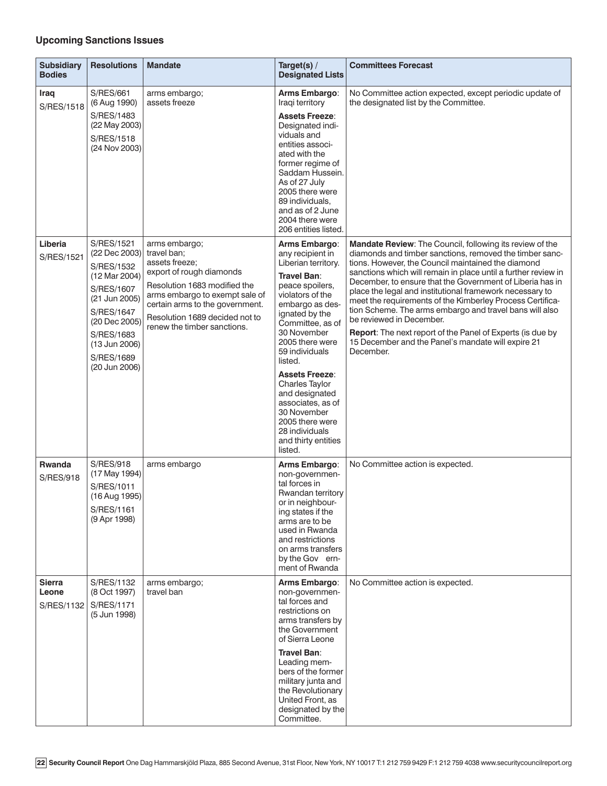# **Upcoming Sanctions Issues**

| <b>Subsidiary</b><br><b>Bodies</b>   | <b>Resolutions</b>                                                                                                                                                                            | <b>Mandate</b>                                                                                                                                                                                                                                   | Target(s) /<br><b>Designated Lists</b>                                                                                                                                                                                                                                                                                                                                                                                       | <b>Committees Forecast</b>                                                                                                                                                                                                                                                                                                                                                                                                                                                                                                                                                                                                                                |
|--------------------------------------|-----------------------------------------------------------------------------------------------------------------------------------------------------------------------------------------------|--------------------------------------------------------------------------------------------------------------------------------------------------------------------------------------------------------------------------------------------------|------------------------------------------------------------------------------------------------------------------------------------------------------------------------------------------------------------------------------------------------------------------------------------------------------------------------------------------------------------------------------------------------------------------------------|-----------------------------------------------------------------------------------------------------------------------------------------------------------------------------------------------------------------------------------------------------------------------------------------------------------------------------------------------------------------------------------------------------------------------------------------------------------------------------------------------------------------------------------------------------------------------------------------------------------------------------------------------------------|
| Iraq<br>S/RES/1518                   | <b>S/RES/661</b><br>(6 Aug 1990)<br>S/RES/1483<br>(22 May 2003)<br>S/RES/1518<br>(24 Nov 2003)                                                                                                | arms embargo;<br>assets freeze                                                                                                                                                                                                                   | Arms Embargo:<br>Iraqi territory<br><b>Assets Freeze:</b><br>Designated indi-<br>viduals and<br>entities associ-<br>ated with the<br>former regime of<br>Saddam Hussein.<br>As of 27 July<br>2005 there were<br>89 individuals,<br>and as of 2 June<br>2004 there were<br>206 entities listed.                                                                                                                               | No Committee action expected, except periodic update of<br>the designated list by the Committee.                                                                                                                                                                                                                                                                                                                                                                                                                                                                                                                                                          |
| Liberia<br>S/RES/1521                | S/RES/1521<br>(22 Dec 2003)<br>S/RES/1532<br>(12 Mar 2004)<br>S/RES/1607<br>(21 Jun 2005)<br><b>S/RES/1647</b><br>(20 Dec 2005)<br>S/RES/1683<br>(13 Jun 2006)<br>S/RES/1689<br>(20 Jun 2006) | arms embargo;<br>travel ban:<br>assets freeze:<br>export of rough diamonds<br>Resolution 1683 modified the<br>arms embargo to exempt sale of<br>certain arms to the government.<br>Resolution 1689 decided not to<br>renew the timber sanctions. | Arms Embargo:<br>any recipient in<br>Liberian territory.<br><b>Travel Ban:</b><br>peace spoilers,<br>violators of the<br>embargo as des-<br>ignated by the<br>Committee, as of<br>30 November<br>2005 there were<br>59 individuals<br>listed.<br><b>Assets Freeze:</b><br><b>Charles Taylor</b><br>and designated<br>associates, as of<br>30 November<br>2005 there were<br>28 individuals<br>and thirty entities<br>listed. | Mandate Review: The Council, following its review of the<br>diamonds and timber sanctions, removed the timber sanc-<br>tions. However, the Council maintained the diamond<br>sanctions which will remain in place until a further review in<br>December, to ensure that the Government of Liberia has in<br>place the legal and institutional framework necessary to<br>meet the requirements of the Kimberley Process Certifica-<br>tion Scheme. The arms embargo and travel bans will also<br>be reviewed in December.<br>Report: The next report of the Panel of Experts (is due by<br>15 December and the Panel's mandate will expire 21<br>December. |
| <b>Rwanda</b><br><b>S/RES/918</b>    | <b>S/RES/918</b><br>(17 May 1994)<br>S/RES/1011<br>(16 Aug 1995)<br>S/RES/1161<br>(9 Apr 1998)                                                                                                | arms embargo                                                                                                                                                                                                                                     | Arms Embargo:<br>non-governmen-<br>tal forces in<br>Rwandan territory<br>or in neighbour-<br>ing states if the<br>arms are to be<br>used in Rwanda<br>and restrictions<br>on arms transfers<br>by the Gov ern-<br>ment of Rwanda                                                                                                                                                                                             | No Committee action is expected.                                                                                                                                                                                                                                                                                                                                                                                                                                                                                                                                                                                                                          |
| <b>Sierra</b><br>Leone<br>S/RES/1132 | S/RES/1132<br>(8 Oct 1997)<br>S/RES/1171<br>(5 Jun 1998)                                                                                                                                      | arms embargo:<br>travel ban                                                                                                                                                                                                                      | Arms Embargo:<br>non-governmen-<br>tal forces and<br>restrictions on<br>arms transfers by<br>the Government<br>of Sierra Leone<br><b>Travel Ban:</b><br>Leading mem-<br>bers of the former<br>military junta and<br>the Revolutionary<br>United Front, as<br>designated by the<br>Committee.                                                                                                                                 | No Committee action is expected.                                                                                                                                                                                                                                                                                                                                                                                                                                                                                                                                                                                                                          |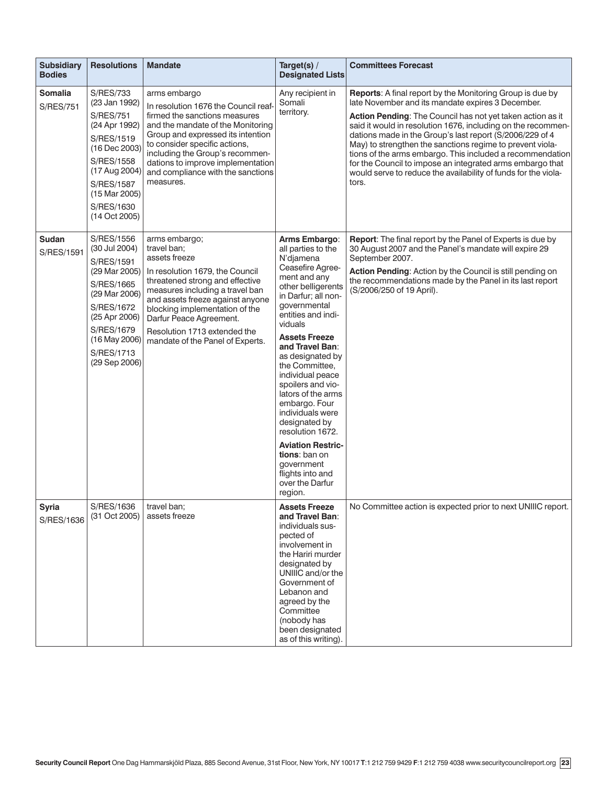| <b>Subsidiary</b><br><b>Bodies</b> | <b>Resolutions</b>                                                                                                                                                                                               | <b>Mandate</b>                                                                                                                                                                                                                                                                                                              | Target(s) /<br><b>Designated Lists</b>                                                                                                                                                                                                                                                                                                                                                                                                                                                                                    | <b>Committees Forecast</b>                                                                                                                                                                                                                                                                                                                                                                                                                                                                                                                                                        |
|------------------------------------|------------------------------------------------------------------------------------------------------------------------------------------------------------------------------------------------------------------|-----------------------------------------------------------------------------------------------------------------------------------------------------------------------------------------------------------------------------------------------------------------------------------------------------------------------------|---------------------------------------------------------------------------------------------------------------------------------------------------------------------------------------------------------------------------------------------------------------------------------------------------------------------------------------------------------------------------------------------------------------------------------------------------------------------------------------------------------------------------|-----------------------------------------------------------------------------------------------------------------------------------------------------------------------------------------------------------------------------------------------------------------------------------------------------------------------------------------------------------------------------------------------------------------------------------------------------------------------------------------------------------------------------------------------------------------------------------|
| <b>Somalia</b><br><b>S/RES/751</b> | <b>S/RES/733</b><br>(23 Jan 1992)<br><b>S/RES/751</b><br>(24 Apr 1992)<br>S/RES/1519<br>(16 Dec 2003)<br><b>S/RES/1558</b><br>(17 Aug 2004)<br><b>S/RES/1587</b><br>(15 Mar 2005)<br>S/RES/1630<br>(14 Oct 2005) | arms embargo<br>In resolution 1676 the Council reaf-<br>firmed the sanctions measures<br>and the mandate of the Monitoring<br>Group and expressed its intention<br>to consider specific actions,<br>including the Group's recommen-<br>dations to improve implementation<br>and compliance with the sanctions<br>measures.  | Any recipient in<br>Somali<br>territory.                                                                                                                                                                                                                                                                                                                                                                                                                                                                                  | <b>Reports:</b> A final report by the Monitoring Group is due by<br>late November and its mandate expires 3 December.<br>Action Pending: The Council has not yet taken action as it<br>said it would in resolution 1676, including on the recommen-<br>dations made in the Group's last report (S/2006/229 of 4<br>May) to strengthen the sanctions regime to prevent viola-<br>tions of the arms embargo. This included a recommendation<br>for the Council to impose an integrated arms embargo that<br>would serve to reduce the availability of funds for the viola-<br>tors. |
| <b>Sudan</b><br>S/RES/1591         | S/RES/1556<br>(30 Jul 2004)<br><b>S/RES/1591</b><br>(29 Mar 2005)<br>S/RES/1665<br>(29 Mar 2006)<br>S/RES/1672<br>(25 Apr 2006)<br><b>S/RES/1679</b><br>(16 May 2006)<br>S/RES/1713<br>(29 Sep 2006)             | arms embargo;<br>travel ban;<br>assets freeze<br>In resolution 1679, the Council<br>threatened strong and effective<br>measures including a travel ban<br>and assets freeze against anyone<br>blocking implementation of the<br>Darfur Peace Agreement.<br>Resolution 1713 extended the<br>mandate of the Panel of Experts. | Arms Embargo:<br>all parties to the<br>N'djamena<br>Ceasefire Agree-<br>ment and any<br>other belligerents<br>in Darfur; all non-<br>governmental<br>entities and indi-<br>viduals<br><b>Assets Freeze</b><br>and Travel Ban:<br>as designated by<br>the Committee.<br>individual peace<br>spoilers and vio-<br>lators of the arms<br>embargo. Four<br>individuals were<br>designated by<br>resolution 1672.<br><b>Aviation Restric-</b><br>tions: ban on<br>government<br>flights into and<br>over the Darfur<br>region. | <b>Report:</b> The final report by the Panel of Experts is due by<br>30 August 2007 and the Panel's mandate will expire 29<br>September 2007.<br>Action Pending: Action by the Council is still pending on<br>the recommendations made by the Panel in its last report<br>(S/2006/250 of 19 April).                                                                                                                                                                                                                                                                               |
| <b>Syria</b><br>S/RES/1636         | S/RES/1636<br>(31 Oct 2005)                                                                                                                                                                                      | travel ban;<br>assets freeze                                                                                                                                                                                                                                                                                                | <b>Assets Freeze</b><br>and Travel Ban:<br>individuals sus-<br>pected of<br>involvement in<br>the Hariri murder<br>designated by<br>UNIIIC and/or the<br>Government of<br>Lebanon and<br>agreed by the<br>Committee<br>(nobody has<br>been designated<br>as of this writing).                                                                                                                                                                                                                                             | No Committee action is expected prior to next UNIIIC report.                                                                                                                                                                                                                                                                                                                                                                                                                                                                                                                      |